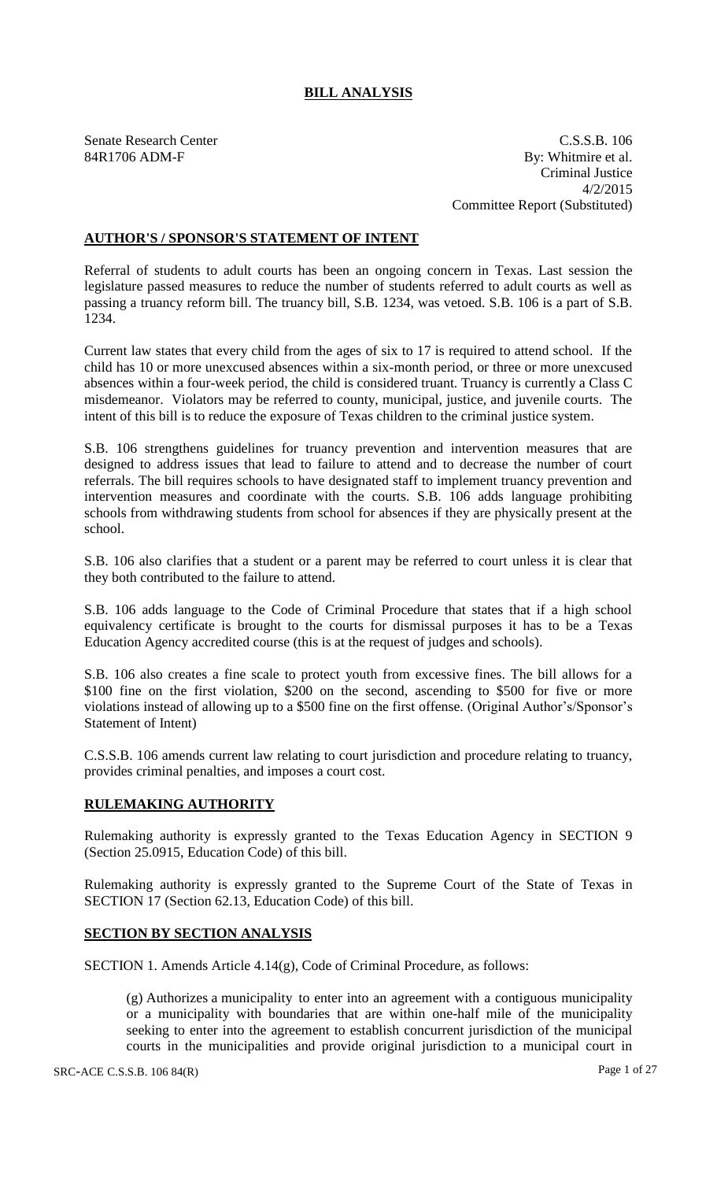# **BILL ANALYSIS**

Senate Research Center C.S.S.B. 106 84R1706 ADM-F By: Whitmire et al. Criminal Justice 4/2/2015 Committee Report (Substituted)

# **AUTHOR'S / SPONSOR'S STATEMENT OF INTENT**

Referral of students to adult courts has been an ongoing concern in Texas. Last session the legislature passed measures to reduce the number of students referred to adult courts as well as passing a truancy reform bill. The truancy bill, S.B. 1234, was vetoed. S.B. 106 is a part of S.B. 1234.

Current law states that every child from the ages of six to 17 is required to attend school. If the child has 10 or more unexcused absences within a six-month period, or three or more unexcused absences within a four-week period, the child is considered truant. Truancy is currently a Class C misdemeanor. Violators may be referred to county, municipal, justice, and juvenile courts. The intent of this bill is to reduce the exposure of Texas children to the criminal justice system.

S.B. 106 strengthens guidelines for truancy prevention and intervention measures that are designed to address issues that lead to failure to attend and to decrease the number of court referrals. The bill requires schools to have designated staff to implement truancy prevention and intervention measures and coordinate with the courts. S.B. 106 adds language prohibiting schools from withdrawing students from school for absences if they are physically present at the school.

S.B. 106 also clarifies that a student or a parent may be referred to court unless it is clear that they both contributed to the failure to attend.

S.B. 106 adds language to the Code of Criminal Procedure that states that if a high school equivalency certificate is brought to the courts for dismissal purposes it has to be a Texas Education Agency accredited course (this is at the request of judges and schools).

S.B. 106 also creates a fine scale to protect youth from excessive fines. The bill allows for a \$100 fine on the first violation, \$200 on the second, ascending to \$500 for five or more violations instead of allowing up to a \$500 fine on the first offense. (Original Author's/Sponsor's Statement of Intent)

C.S.S.B. 106 amends current law relating to court jurisdiction and procedure relating to truancy, provides criminal penalties, and imposes a court cost.

### **RULEMAKING AUTHORITY**

Rulemaking authority is expressly granted to the Texas Education Agency in SECTION 9 (Section 25.0915, Education Code) of this bill.

Rulemaking authority is expressly granted to the Supreme Court of the State of Texas in SECTION 17 (Section 62.13, Education Code) of this bill.

### **SECTION BY SECTION ANALYSIS**

SECTION 1. Amends Article 4.14(g), Code of Criminal Procedure, as follows:

(g) Authorizes a municipality to enter into an agreement with a contiguous municipality or a municipality with boundaries that are within one-half mile of the municipality seeking to enter into the agreement to establish concurrent jurisdiction of the municipal courts in the municipalities and provide original jurisdiction to a municipal court in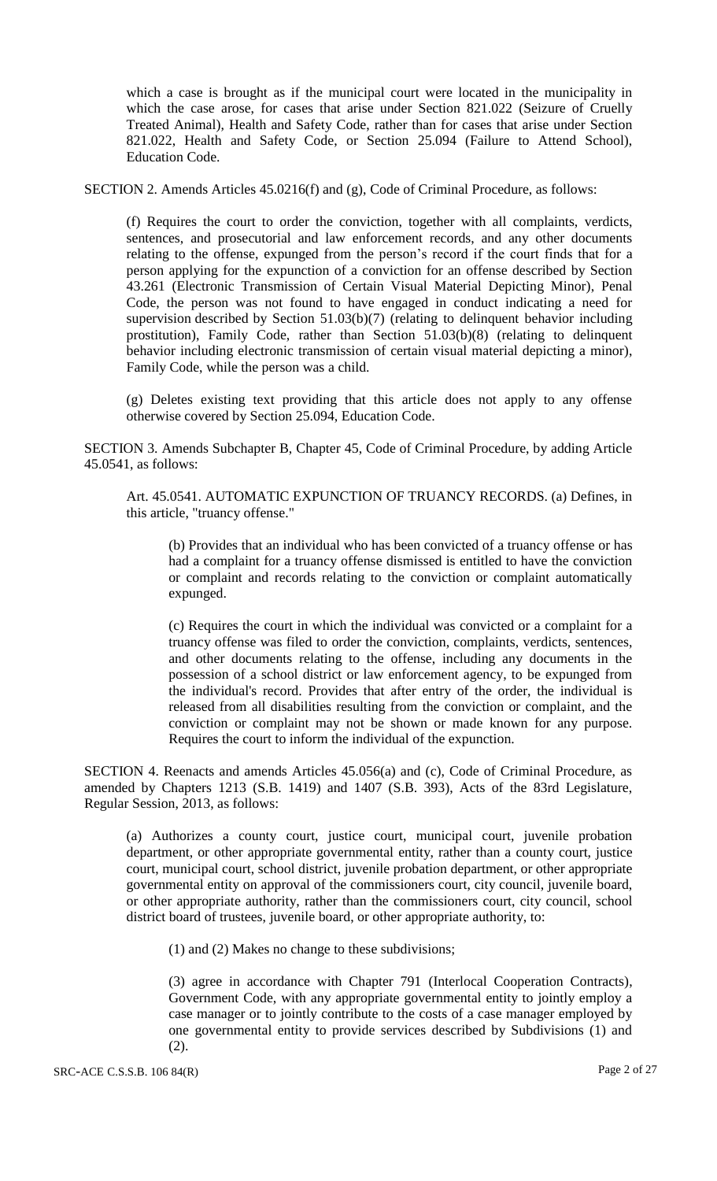which a case is brought as if the municipal court were located in the municipality in which the case arose, for cases that arise under Section 821.022 (Seizure of Cruelly Treated Animal), Health and Safety Code, rather than for cases that arise under Section 821.022, Health and Safety Code, or Section 25.094 (Failure to Attend School), Education Code.

SECTION 2. Amends Articles 45.0216(f) and (g), Code of Criminal Procedure, as follows:

(f) Requires the court to order the conviction, together with all complaints, verdicts, sentences, and prosecutorial and law enforcement records, and any other documents relating to the offense, expunged from the person's record if the court finds that for a person applying for the expunction of a conviction for an offense described by Section 43.261 (Electronic Transmission of Certain Visual Material Depicting Minor), Penal Code, the person was not found to have engaged in conduct indicating a need for supervision described by Section 51.03(b)(7) (relating to delinquent behavior including prostitution), Family Code, rather than Section 51.03(b)(8) (relating to delinquent behavior including electronic transmission of certain visual material depicting a minor), Family Code, while the person was a child.

(g) Deletes existing text providing that this article does not apply to any offense otherwise covered by Section 25.094, Education Code.

SECTION 3. Amends Subchapter B, Chapter 45, Code of Criminal Procedure, by adding Article 45.0541, as follows:

Art. 45.0541. AUTOMATIC EXPUNCTION OF TRUANCY RECORDS. (a) Defines, in this article, "truancy offense."

(b) Provides that an individual who has been convicted of a truancy offense or has had a complaint for a truancy offense dismissed is entitled to have the conviction or complaint and records relating to the conviction or complaint automatically expunged.

(c) Requires the court in which the individual was convicted or a complaint for a truancy offense was filed to order the conviction, complaints, verdicts, sentences, and other documents relating to the offense, including any documents in the possession of a school district or law enforcement agency, to be expunged from the individual's record. Provides that after entry of the order, the individual is released from all disabilities resulting from the conviction or complaint, and the conviction or complaint may not be shown or made known for any purpose. Requires the court to inform the individual of the expunction.

SECTION 4. Reenacts and amends Articles 45.056(a) and (c), Code of Criminal Procedure, as amended by Chapters 1213 (S.B. 1419) and 1407 (S.B. 393), Acts of the 83rd Legislature, Regular Session, 2013, as follows:

(a) Authorizes a county court, justice court, municipal court, juvenile probation department, or other appropriate governmental entity, rather than a county court, justice court, municipal court, school district, juvenile probation department, or other appropriate governmental entity on approval of the commissioners court, city council, juvenile board, or other appropriate authority, rather than the commissioners court, city council, school district board of trustees, juvenile board, or other appropriate authority, to:

(1) and (2) Makes no change to these subdivisions;

(3) agree in accordance with Chapter 791 (Interlocal Cooperation Contracts), Government Code, with any appropriate governmental entity to jointly employ a case manager or to jointly contribute to the costs of a case manager employed by one governmental entity to provide services described by Subdivisions (1) and (2).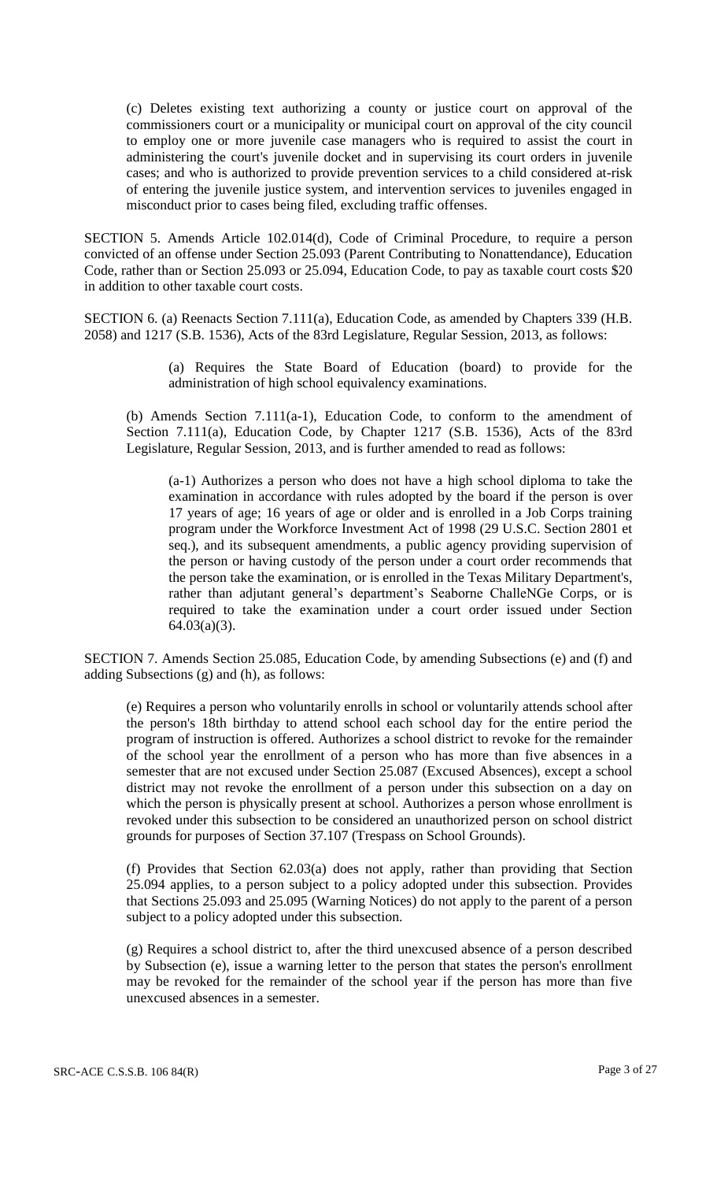(c) Deletes existing text authorizing a county or justice court on approval of the commissioners court or a municipality or municipal court on approval of the city council to employ one or more juvenile case managers who is required to assist the court in administering the court's juvenile docket and in supervising its court orders in juvenile cases; and who is authorized to provide prevention services to a child considered at-risk of entering the juvenile justice system, and intervention services to juveniles engaged in misconduct prior to cases being filed, excluding traffic offenses.

SECTION 5. Amends Article 102.014(d), Code of Criminal Procedure, to require a person convicted of an offense under Section 25.093 (Parent Contributing to Nonattendance), Education Code, rather than or Section 25.093 or 25.094, Education Code, to pay as taxable court costs \$20 in addition to other taxable court costs.

SECTION 6. (a) Reenacts Section 7.111(a), Education Code, as amended by Chapters 339 (H.B. 2058) and 1217 (S.B. 1536), Acts of the 83rd Legislature, Regular Session, 2013, as follows:

> (a) Requires the State Board of Education (board) to provide for the administration of high school equivalency examinations.

(b) Amends Section 7.111(a-1), Education Code, to conform to the amendment of Section 7.111(a), Education Code, by Chapter 1217 (S.B. 1536), Acts of the 83rd Legislature, Regular Session, 2013, and is further amended to read as follows:

(a-1) Authorizes a person who does not have a high school diploma to take the examination in accordance with rules adopted by the board if the person is over 17 years of age; 16 years of age or older and is enrolled in a Job Corps training program under the Workforce Investment Act of 1998 (29 U.S.C. Section 2801 et seq.), and its subsequent amendments, a public agency providing supervision of the person or having custody of the person under a court order recommends that the person take the examination, or is enrolled in the Texas Military Department's, rather than adjutant general's department's Seaborne ChalleNGe Corps, or is required to take the examination under a court order issued under Section 64.03(a)(3).

SECTION 7. Amends Section 25.085, Education Code, by amending Subsections (e) and (f) and adding Subsections (g) and (h), as follows:

(e) Requires a person who voluntarily enrolls in school or voluntarily attends school after the person's 18th birthday to attend school each school day for the entire period the program of instruction is offered. Authorizes a school district to revoke for the remainder of the school year the enrollment of a person who has more than five absences in a semester that are not excused under Section 25.087 (Excused Absences), except a school district may not revoke the enrollment of a person under this subsection on a day on which the person is physically present at school. Authorizes a person whose enrollment is revoked under this subsection to be considered an unauthorized person on school district grounds for purposes of Section 37.107 (Trespass on School Grounds).

(f) Provides that Section 62.03(a) does not apply, rather than providing that Section 25.094 applies, to a person subject to a policy adopted under this subsection. Provides that Sections 25.093 and 25.095 (Warning Notices) do not apply to the parent of a person subject to a policy adopted under this subsection.

(g) Requires a school district to, after the third unexcused absence of a person described by Subsection (e), issue a warning letter to the person that states the person's enrollment may be revoked for the remainder of the school year if the person has more than five unexcused absences in a semester.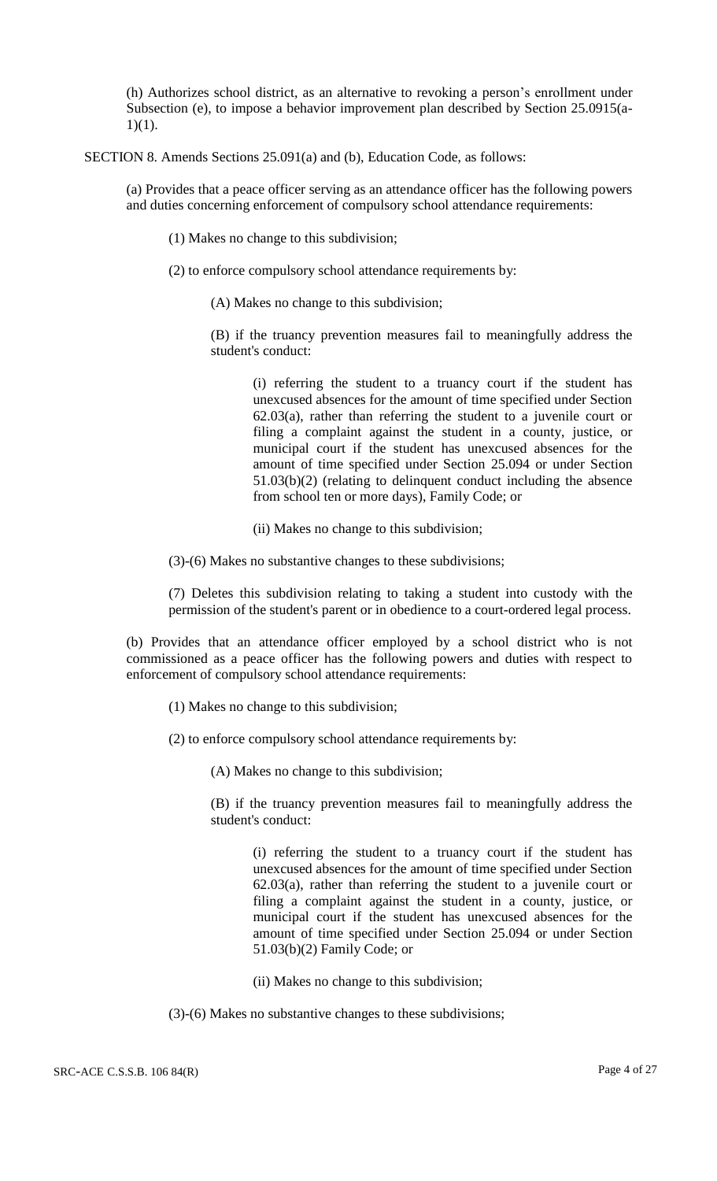(h) Authorizes school district, as an alternative to revoking a person's enrollment under Subsection (e), to impose a behavior improvement plan described by Section 25.0915(a- $1)(1)$ .

SECTION 8. Amends Sections 25.091(a) and (b), Education Code, as follows:

(a) Provides that a peace officer serving as an attendance officer has the following powers and duties concerning enforcement of compulsory school attendance requirements:

(1) Makes no change to this subdivision;

(2) to enforce compulsory school attendance requirements by:

(A) Makes no change to this subdivision;

(B) if the truancy prevention measures fail to meaningfully address the student's conduct:

(i) referring the student to a truancy court if the student has unexcused absences for the amount of time specified under Section 62.03(a), rather than referring the student to a juvenile court or filing a complaint against the student in a county, justice, or municipal court if the student has unexcused absences for the amount of time specified under Section 25.094 or under Section 51.03(b)(2) (relating to delinquent conduct including the absence from school ten or more days), Family Code; or

(ii) Makes no change to this subdivision;

(3)-(6) Makes no substantive changes to these subdivisions;

(7) Deletes this subdivision relating to taking a student into custody with the permission of the student's parent or in obedience to a court-ordered legal process.

(b) Provides that an attendance officer employed by a school district who is not commissioned as a peace officer has the following powers and duties with respect to enforcement of compulsory school attendance requirements:

(1) Makes no change to this subdivision;

(2) to enforce compulsory school attendance requirements by:

(A) Makes no change to this subdivision;

(B) if the truancy prevention measures fail to meaningfully address the student's conduct:

(i) referring the student to a truancy court if the student has unexcused absences for the amount of time specified under Section 62.03(a), rather than referring the student to a juvenile court or filing a complaint against the student in a county, justice, or municipal court if the student has unexcused absences for the amount of time specified under Section 25.094 or under Section 51.03(b)(2) Family Code; or

(ii) Makes no change to this subdivision;

(3)-(6) Makes no substantive changes to these subdivisions;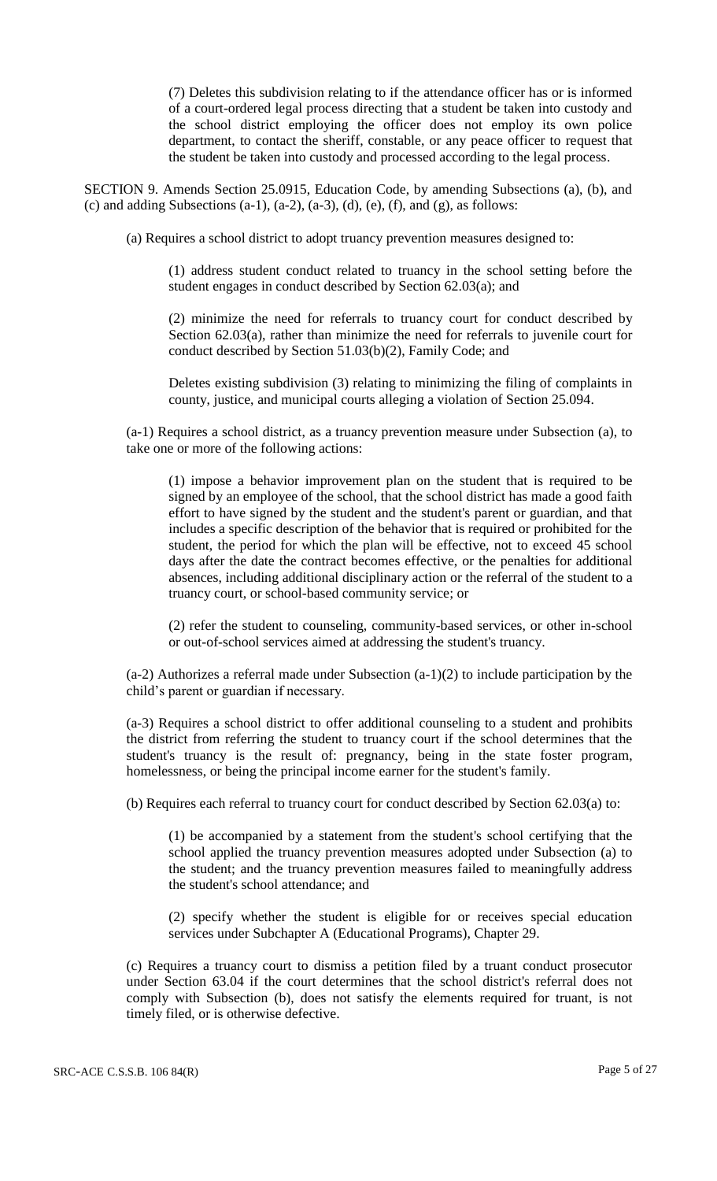(7) Deletes this subdivision relating to if the attendance officer has or is informed of a court-ordered legal process directing that a student be taken into custody and the school district employing the officer does not employ its own police department, to contact the sheriff, constable, or any peace officer to request that the student be taken into custody and processed according to the legal process.

SECTION 9. Amends Section 25.0915, Education Code, by amending Subsections (a), (b), and (c) and adding Subsections  $(a-1)$ ,  $(a-2)$ ,  $(a-3)$ ,  $(d)$ ,  $(e)$ ,  $(f)$ , and  $(g)$ , as follows:

(a) Requires a school district to adopt truancy prevention measures designed to:

(1) address student conduct related to truancy in the school setting before the student engages in conduct described by Section 62.03(a); and

(2) minimize the need for referrals to truancy court for conduct described by Section 62.03(a), rather than minimize the need for referrals to juvenile court for conduct described by Section 51.03(b)(2), Family Code; and

Deletes existing subdivision (3) relating to minimizing the filing of complaints in county, justice, and municipal courts alleging a violation of Section 25.094.

(a-1) Requires a school district, as a truancy prevention measure under Subsection (a), to take one or more of the following actions:

(1) impose a behavior improvement plan on the student that is required to be signed by an employee of the school, that the school district has made a good faith effort to have signed by the student and the student's parent or guardian, and that includes a specific description of the behavior that is required or prohibited for the student, the period for which the plan will be effective, not to exceed 45 school days after the date the contract becomes effective, or the penalties for additional absences, including additional disciplinary action or the referral of the student to a truancy court, or school-based community service; or

(2) refer the student to counseling, community-based services, or other in-school or out-of-school services aimed at addressing the student's truancy.

(a-2) Authorizes a referral made under Subsection (a-1)(2) to include participation by the child's parent or guardian if necessary.

(a-3) Requires a school district to offer additional counseling to a student and prohibits the district from referring the student to truancy court if the school determines that the student's truancy is the result of: pregnancy, being in the state foster program, homelessness, or being the principal income earner for the student's family.

(b) Requires each referral to truancy court for conduct described by Section 62.03(a) to:

(1) be accompanied by a statement from the student's school certifying that the school applied the truancy prevention measures adopted under Subsection (a) to the student; and the truancy prevention measures failed to meaningfully address the student's school attendance; and

(2) specify whether the student is eligible for or receives special education services under Subchapter A (Educational Programs), Chapter 29.

(c) Requires a truancy court to dismiss a petition filed by a truant conduct prosecutor under Section 63.04 if the court determines that the school district's referral does not comply with Subsection (b), does not satisfy the elements required for truant, is not timely filed, or is otherwise defective.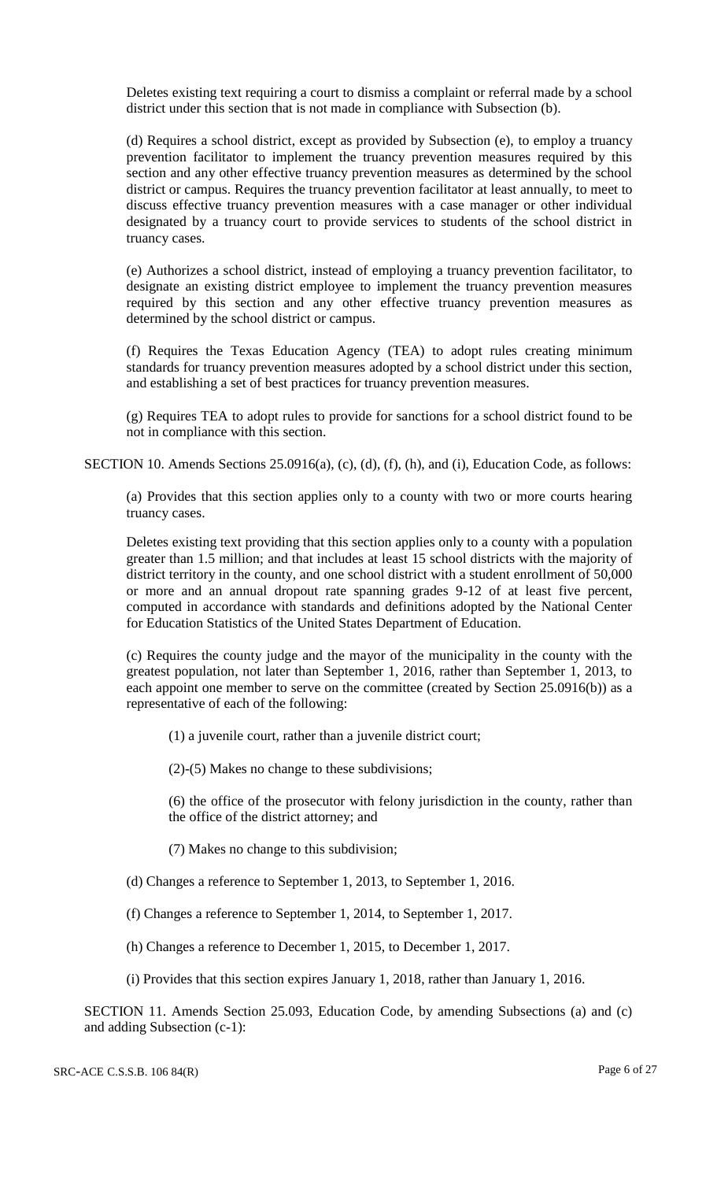Deletes existing text requiring a court to dismiss a complaint or referral made by a school district under this section that is not made in compliance with Subsection (b).

(d) Requires a school district, except as provided by Subsection (e), to employ a truancy prevention facilitator to implement the truancy prevention measures required by this section and any other effective truancy prevention measures as determined by the school district or campus. Requires the truancy prevention facilitator at least annually, to meet to discuss effective truancy prevention measures with a case manager or other individual designated by a truancy court to provide services to students of the school district in truancy cases.

(e) Authorizes a school district, instead of employing a truancy prevention facilitator, to designate an existing district employee to implement the truancy prevention measures required by this section and any other effective truancy prevention measures as determined by the school district or campus.

(f) Requires the Texas Education Agency (TEA) to adopt rules creating minimum standards for truancy prevention measures adopted by a school district under this section, and establishing a set of best practices for truancy prevention measures.

(g) Requires TEA to adopt rules to provide for sanctions for a school district found to be not in compliance with this section.

SECTION 10. Amends Sections 25.0916(a), (c), (d), (f), (h), and (i), Education Code, as follows:

(a) Provides that this section applies only to a county with two or more courts hearing truancy cases.

Deletes existing text providing that this section applies only to a county with a population greater than 1.5 million; and that includes at least 15 school districts with the majority of district territory in the county, and one school district with a student enrollment of 50,000 or more and an annual dropout rate spanning grades 9-12 of at least five percent, computed in accordance with standards and definitions adopted by the National Center for Education Statistics of the United States Department of Education.

(c) Requires the county judge and the mayor of the municipality in the county with the greatest population, not later than September 1, 2016, rather than September 1, 2013, to each appoint one member to serve on the committee (created by Section 25.0916(b)) as a representative of each of the following:

(1) a juvenile court, rather than a juvenile district court;

(2)-(5) Makes no change to these subdivisions;

(6) the office of the prosecutor with felony jurisdiction in the county, rather than the office of the district attorney; and

(7) Makes no change to this subdivision;

(d) Changes a reference to September 1, 2013, to September 1, 2016.

(f) Changes a reference to September 1, 2014, to September 1, 2017.

(h) Changes a reference to December 1, 2015, to December 1, 2017.

(i) Provides that this section expires January 1, 2018, rather than January 1, 2016.

SECTION 11. Amends Section 25.093, Education Code, by amending Subsections (a) and (c) and adding Subsection (c-1):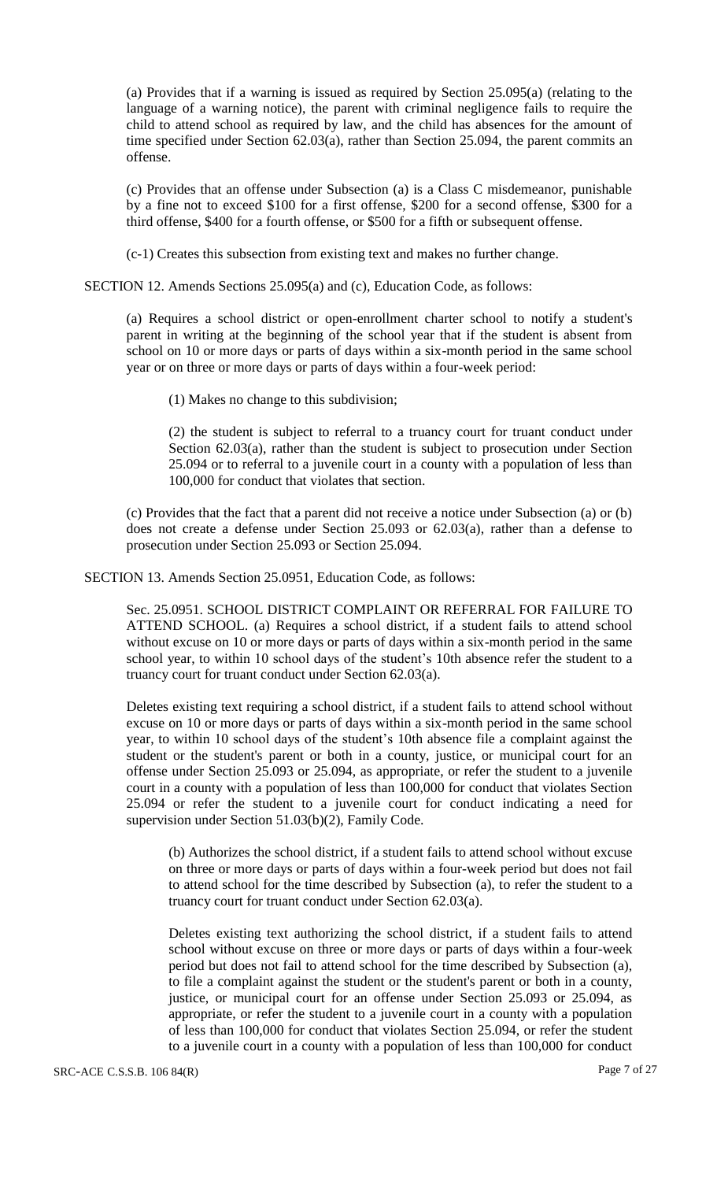(a) Provides that if a warning is issued as required by Section 25.095(a) (relating to the language of a warning notice), the parent with criminal negligence fails to require the child to attend school as required by law, and the child has absences for the amount of time specified under Section 62.03(a), rather than Section 25.094, the parent commits an offense.

(c) Provides that an offense under Subsection (a) is a Class C misdemeanor, punishable by a fine not to exceed \$100 for a first offense, \$200 for a second offense, \$300 for a third offense, \$400 for a fourth offense, or \$500 for a fifth or subsequent offense.

(c-1) Creates this subsection from existing text and makes no further change.

SECTION 12. Amends Sections 25.095(a) and (c), Education Code, as follows:

(a) Requires a school district or open-enrollment charter school to notify a student's parent in writing at the beginning of the school year that if the student is absent from school on 10 or more days or parts of days within a six-month period in the same school year or on three or more days or parts of days within a four-week period:

(1) Makes no change to this subdivision;

(2) the student is subject to referral to a truancy court for truant conduct under Section 62.03(a), rather than the student is subject to prosecution under Section 25.094 or to referral to a juvenile court in a county with a population of less than 100,000 for conduct that violates that section.

(c) Provides that the fact that a parent did not receive a notice under Subsection (a) or (b) does not create a defense under Section 25.093 or 62.03(a), rather than a defense to prosecution under Section 25.093 or Section 25.094.

SECTION 13. Amends Section 25.0951, Education Code, as follows:

Sec. 25.0951. SCHOOL DISTRICT COMPLAINT OR REFERRAL FOR FAILURE TO ATTEND SCHOOL. (a) Requires a school district, if a student fails to attend school without excuse on 10 or more days or parts of days within a six-month period in the same school year, to within 10 school days of the student's 10th absence refer the student to a truancy court for truant conduct under Section 62.03(a).

Deletes existing text requiring a school district, if a student fails to attend school without excuse on 10 or more days or parts of days within a six-month period in the same school year, to within 10 school days of the student's 10th absence file a complaint against the student or the student's parent or both in a county, justice, or municipal court for an offense under Section 25.093 or 25.094, as appropriate, or refer the student to a juvenile court in a county with a population of less than 100,000 for conduct that violates Section 25.094 or refer the student to a juvenile court for conduct indicating a need for supervision under Section 51.03(b)(2), Family Code.

(b) Authorizes the school district, if a student fails to attend school without excuse on three or more days or parts of days within a four-week period but does not fail to attend school for the time described by Subsection (a), to refer the student to a truancy court for truant conduct under Section 62.03(a).

Deletes existing text authorizing the school district, if a student fails to attend school without excuse on three or more days or parts of days within a four-week period but does not fail to attend school for the time described by Subsection (a), to file a complaint against the student or the student's parent or both in a county, justice, or municipal court for an offense under Section 25.093 or 25.094, as appropriate, or refer the student to a juvenile court in a county with a population of less than 100,000 for conduct that violates Section 25.094, or refer the student to a juvenile court in a county with a population of less than 100,000 for conduct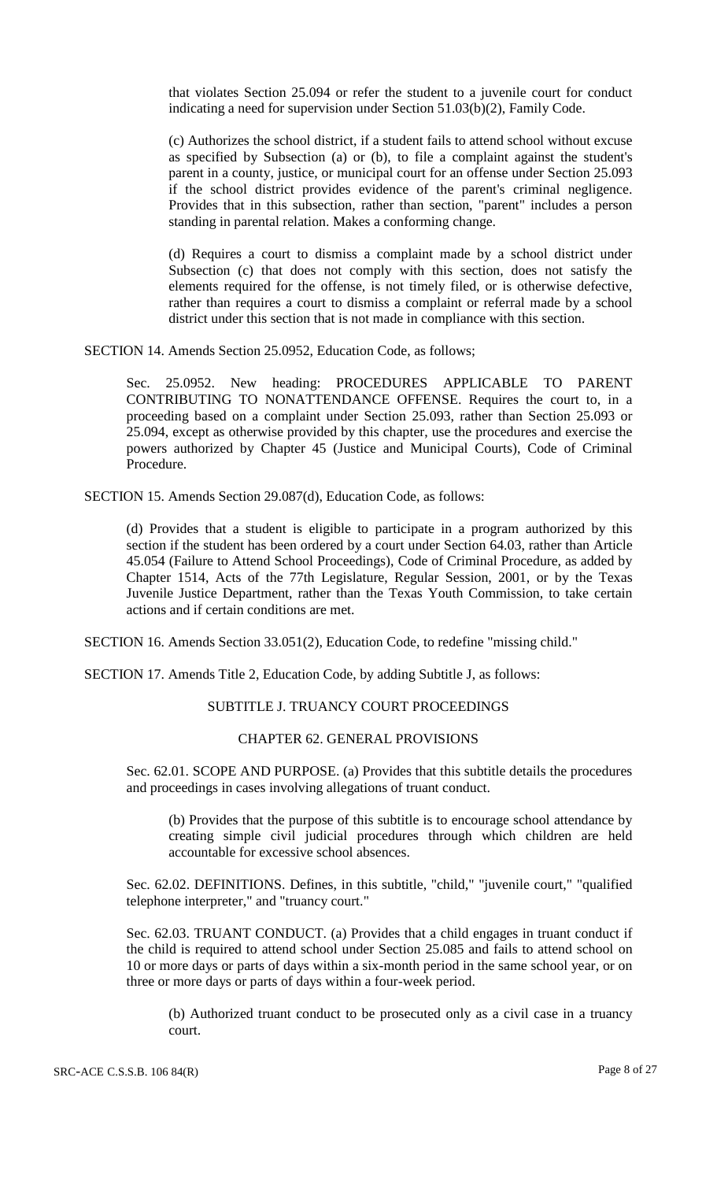that violates Section 25.094 or refer the student to a juvenile court for conduct indicating a need for supervision under Section 51.03(b)(2), Family Code.

(c) Authorizes the school district, if a student fails to attend school without excuse as specified by Subsection (a) or (b), to file a complaint against the student's parent in a county, justice, or municipal court for an offense under Section 25.093 if the school district provides evidence of the parent's criminal negligence. Provides that in this subsection, rather than section, "parent" includes a person standing in parental relation. Makes a conforming change.

(d) Requires a court to dismiss a complaint made by a school district under Subsection (c) that does not comply with this section, does not satisfy the elements required for the offense, is not timely filed, or is otherwise defective, rather than requires a court to dismiss a complaint or referral made by a school district under this section that is not made in compliance with this section.

SECTION 14. Amends Section 25.0952, Education Code, as follows;

Sec. 25.0952. New heading: PROCEDURES APPLICABLE TO PARENT CONTRIBUTING TO NONATTENDANCE OFFENSE. Requires the court to, in a proceeding based on a complaint under Section 25.093, rather than Section 25.093 or 25.094, except as otherwise provided by this chapter, use the procedures and exercise the powers authorized by Chapter 45 (Justice and Municipal Courts), Code of Criminal Procedure.

SECTION 15. Amends Section 29.087(d), Education Code, as follows:

(d) Provides that a student is eligible to participate in a program authorized by this section if the student has been ordered by a court under Section 64.03, rather than Article 45.054 (Failure to Attend School Proceedings), Code of Criminal Procedure, as added by Chapter 1514, Acts of the 77th Legislature, Regular Session, 2001, or by the Texas Juvenile Justice Department, rather than the Texas Youth Commission, to take certain actions and if certain conditions are met.

SECTION 16. Amends Section 33.051(2), Education Code, to redefine "missing child."

SECTION 17. Amends Title 2, Education Code, by adding Subtitle J, as follows:

# SUBTITLE J. TRUANCY COURT PROCEEDINGS

#### CHAPTER 62. GENERAL PROVISIONS

Sec. 62.01. SCOPE AND PURPOSE. (a) Provides that this subtitle details the procedures and proceedings in cases involving allegations of truant conduct.

(b) Provides that the purpose of this subtitle is to encourage school attendance by creating simple civil judicial procedures through which children are held accountable for excessive school absences.

Sec. 62.02. DEFINITIONS. Defines, in this subtitle, "child," "juvenile court," "qualified telephone interpreter," and "truancy court."

Sec. 62.03. TRUANT CONDUCT. (a) Provides that a child engages in truant conduct if the child is required to attend school under Section 25.085 and fails to attend school on 10 or more days or parts of days within a six-month period in the same school year, or on three or more days or parts of days within a four-week period.

(b) Authorized truant conduct to be prosecuted only as a civil case in a truancy court.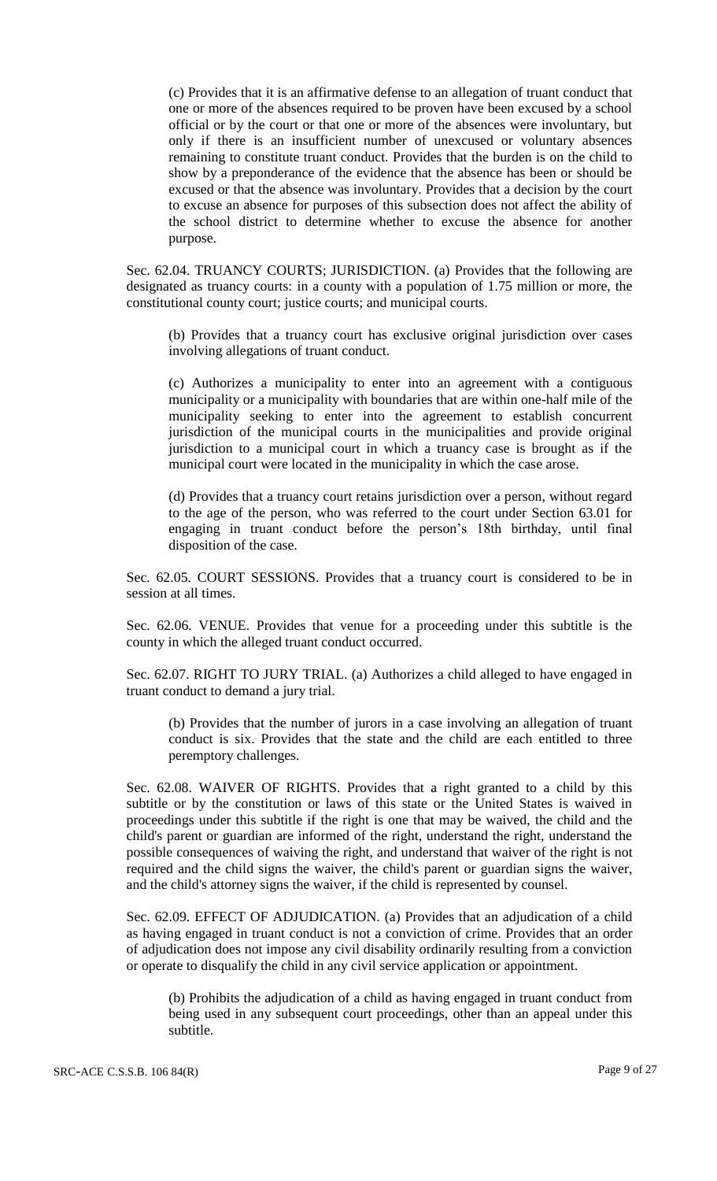(c) Provides that it is an affirmative defense to an allegation of truant conduct that one or more of the absences required to be proven have been excused by a school official or by the court or that one or more of the absences were involuntary, but only if there is an insufficient number of unexcused or voluntary absences remaining to constitute truant conduct. Provides that the burden is on the child to show by a preponderance of the evidence that the absence has been or should be excused or that the absence was involuntary. Provides that a decision by the court to excuse an absence for purposes of this subsection does not affect the ability of the school district to determine whether to excuse the absence for another purpose.

Sec. 62.04. TRUANCY COURTS; JURISDICTION. (a) Provides that the following are designated as truancy courts: in a county with a population of 1.75 million or more, the constitutional county court; justice courts; and municipal courts.

(b) Provides that a truancy court has exclusive original jurisdiction over cases involving allegations of truant conduct.

(c) Authorizes a municipality to enter into an agreement with a contiguous municipality or a municipality with boundaries that are within one-half mile of the municipality seeking to enter into the agreement to establish concurrent jurisdiction of the municipal courts in the municipalities and provide original jurisdiction to a municipal court in which a truancy case is brought as if the municipal court were located in the municipality in which the case arose.

(d) Provides that a truancy court retains jurisdiction over a person, without regard to the age of the person, who was referred to the court under Section 63.01 for engaging in truant conduct before the person's 18th birthday, until final disposition of the case.

Sec. 62.05. COURT SESSIONS. Provides that a truancy court is considered to be in session at all times.

Sec. 62.06. VENUE. Provides that venue for a proceeding under this subtitle is the county in which the alleged truant conduct occurred.

Sec. 62.07. RIGHT TO JURY TRIAL. (a) Authorizes a child alleged to have engaged in truant conduct to demand a jury trial.

(b) Provides that the number of jurors in a case involving an allegation of truant conduct is six. Provides that the state and the child are each entitled to three peremptory challenges.

Sec. 62.08. WAIVER OF RIGHTS. Provides that a right granted to a child by this subtitle or by the constitution or laws of this state or the United States is waived in proceedings under this subtitle if the right is one that may be waived, the child and the child's parent or guardian are informed of the right, understand the right, understand the possible consequences of waiving the right, and understand that waiver of the right is not required and the child signs the waiver, the child's parent or guardian signs the waiver, and the child's attorney signs the waiver, if the child is represented by counsel.

Sec. 62.09. EFFECT OF ADJUDICATION. (a) Provides that an adjudication of a child as having engaged in truant conduct is not a conviction of crime. Provides that an order of adjudication does not impose any civil disability ordinarily resulting from a conviction or operate to disqualify the child in any civil service application or appointment.

(b) Prohibits the adjudication of a child as having engaged in truant conduct from being used in any subsequent court proceedings, other than an appeal under this subtitle.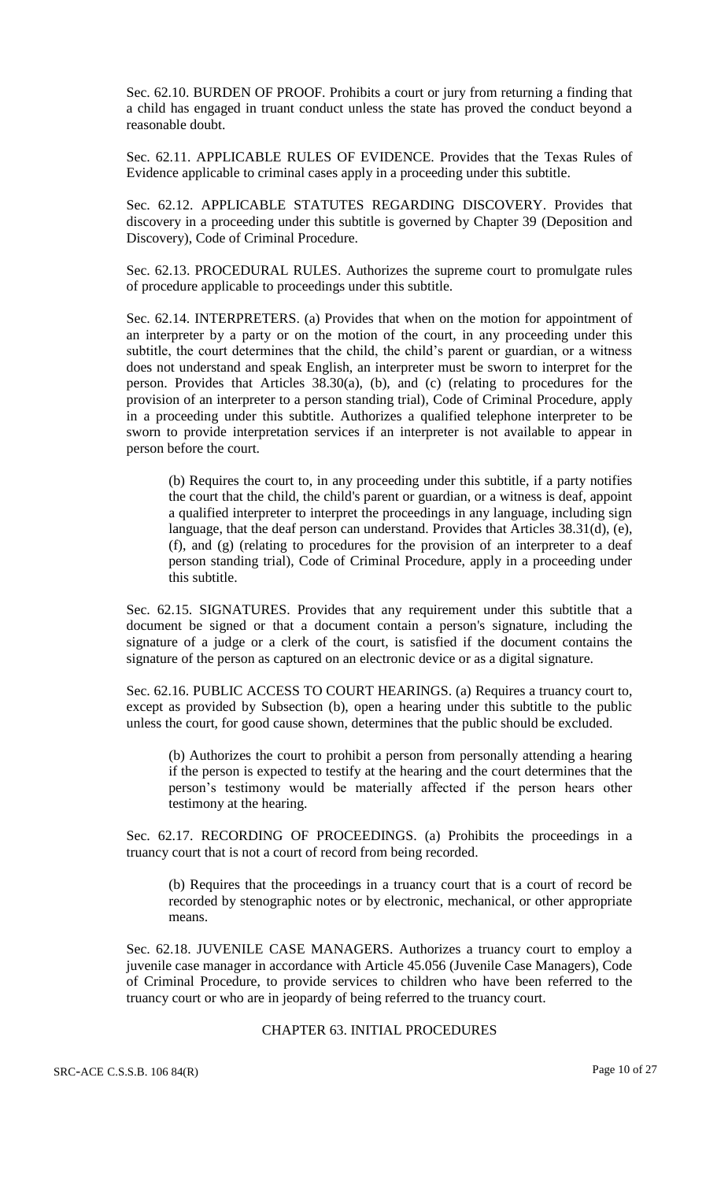Sec. 62.10. BURDEN OF PROOF. Prohibits a court or jury from returning a finding that a child has engaged in truant conduct unless the state has proved the conduct beyond a reasonable doubt.

Sec. 62.11. APPLICABLE RULES OF EVIDENCE. Provides that the Texas Rules of Evidence applicable to criminal cases apply in a proceeding under this subtitle.

Sec. 62.12. APPLICABLE STATUTES REGARDING DISCOVERY. Provides that discovery in a proceeding under this subtitle is governed by Chapter 39 (Deposition and Discovery), Code of Criminal Procedure.

Sec. 62.13. PROCEDURAL RULES. Authorizes the supreme court to promulgate rules of procedure applicable to proceedings under this subtitle.

Sec. 62.14. INTERPRETERS. (a) Provides that when on the motion for appointment of an interpreter by a party or on the motion of the court, in any proceeding under this subtitle, the court determines that the child, the child's parent or guardian, or a witness does not understand and speak English, an interpreter must be sworn to interpret for the person. Provides that Articles 38.30(a), (b), and (c) (relating to procedures for the provision of an interpreter to a person standing trial), Code of Criminal Procedure, apply in a proceeding under this subtitle. Authorizes a qualified telephone interpreter to be sworn to provide interpretation services if an interpreter is not available to appear in person before the court.

(b) Requires the court to, in any proceeding under this subtitle, if a party notifies the court that the child, the child's parent or guardian, or a witness is deaf, appoint a qualified interpreter to interpret the proceedings in any language, including sign language, that the deaf person can understand. Provides that Articles 38.31(d), (e), (f), and (g) (relating to procedures for the provision of an interpreter to a deaf person standing trial), Code of Criminal Procedure, apply in a proceeding under this subtitle.

Sec. 62.15. SIGNATURES. Provides that any requirement under this subtitle that a document be signed or that a document contain a person's signature, including the signature of a judge or a clerk of the court, is satisfied if the document contains the signature of the person as captured on an electronic device or as a digital signature.

Sec. 62.16. PUBLIC ACCESS TO COURT HEARINGS. (a) Requires a truancy court to, except as provided by Subsection (b), open a hearing under this subtitle to the public unless the court, for good cause shown, determines that the public should be excluded.

(b) Authorizes the court to prohibit a person from personally attending a hearing if the person is expected to testify at the hearing and the court determines that the person's testimony would be materially affected if the person hears other testimony at the hearing.

Sec. 62.17. RECORDING OF PROCEEDINGS. (a) Prohibits the proceedings in a truancy court that is not a court of record from being recorded.

(b) Requires that the proceedings in a truancy court that is a court of record be recorded by stenographic notes or by electronic, mechanical, or other appropriate means.

Sec. 62.18. JUVENILE CASE MANAGERS. Authorizes a truancy court to employ a juvenile case manager in accordance with Article 45.056 (Juvenile Case Managers), Code of Criminal Procedure, to provide services to children who have been referred to the truancy court or who are in jeopardy of being referred to the truancy court.

# CHAPTER 63. INITIAL PROCEDURES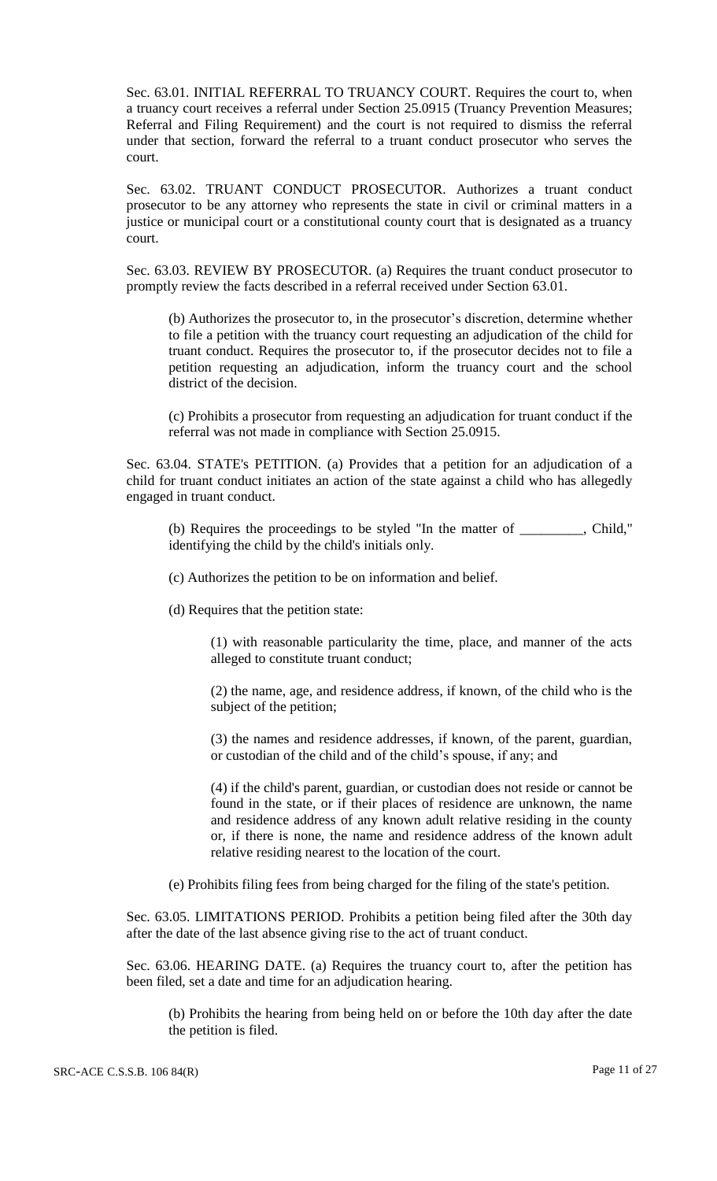Sec. 63.01. INITIAL REFERRAL TO TRUANCY COURT. Requires the court to, when a truancy court receives a referral under Section 25.0915 (Truancy Prevention Measures; Referral and Filing Requirement) and the court is not required to dismiss the referral under that section, forward the referral to a truant conduct prosecutor who serves the court.

Sec. 63.02. TRUANT CONDUCT PROSECUTOR. Authorizes a truant conduct prosecutor to be any attorney who represents the state in civil or criminal matters in a justice or municipal court or a constitutional county court that is designated as a truancy court.

Sec. 63.03. REVIEW BY PROSECUTOR. (a) Requires the truant conduct prosecutor to promptly review the facts described in a referral received under Section 63.01.

(b) Authorizes the prosecutor to, in the prosecutor's discretion, determine whether to file a petition with the truancy court requesting an adjudication of the child for truant conduct. Requires the prosecutor to, if the prosecutor decides not to file a petition requesting an adjudication, inform the truancy court and the school district of the decision.

(c) Prohibits a prosecutor from requesting an adjudication for truant conduct if the referral was not made in compliance with Section 25.0915.

Sec. 63.04. STATE's PETITION. (a) Provides that a petition for an adjudication of a child for truant conduct initiates an action of the state against a child who has allegedly engaged in truant conduct.

(b) Requires the proceedings to be styled "In the matter of \_\_\_\_\_\_\_\_\_, Child," identifying the child by the child's initials only.

(c) Authorizes the petition to be on information and belief.

(d) Requires that the petition state:

(1) with reasonable particularity the time, place, and manner of the acts alleged to constitute truant conduct;

(2) the name, age, and residence address, if known, of the child who is the subject of the petition;

(3) the names and residence addresses, if known, of the parent, guardian, or custodian of the child and of the child's spouse, if any; and

(4) if the child's parent, guardian, or custodian does not reside or cannot be found in the state, or if their places of residence are unknown, the name and residence address of any known adult relative residing in the county or, if there is none, the name and residence address of the known adult relative residing nearest to the location of the court.

(e) Prohibits filing fees from being charged for the filing of the state's petition.

Sec. 63.05. LIMITATIONS PERIOD. Prohibits a petition being filed after the 30th day after the date of the last absence giving rise to the act of truant conduct.

Sec. 63.06. HEARING DATE. (a) Requires the truancy court to, after the petition has been filed, set a date and time for an adjudication hearing.

(b) Prohibits the hearing from being held on or before the 10th day after the date the petition is filed.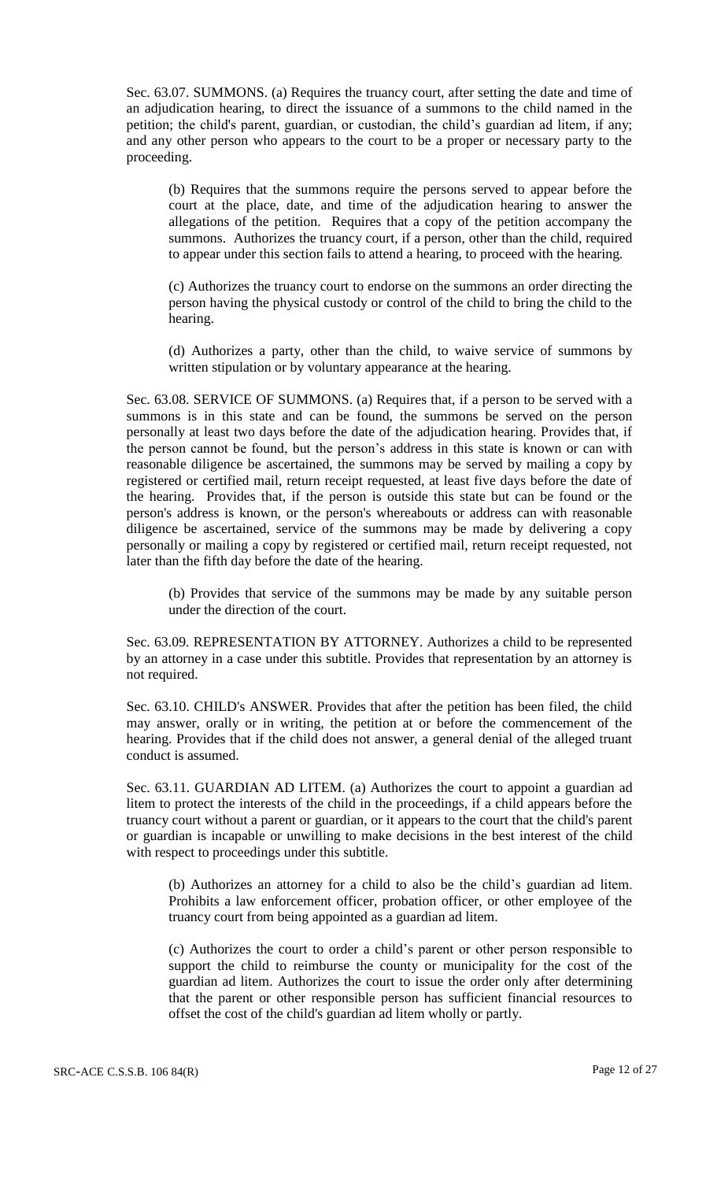Sec. 63.07. SUMMONS. (a) Requires the truancy court, after setting the date and time of an adjudication hearing, to direct the issuance of a summons to the child named in the petition; the child's parent, guardian, or custodian, the child's guardian ad litem, if any; and any other person who appears to the court to be a proper or necessary party to the proceeding.

(b) Requires that the summons require the persons served to appear before the court at the place, date, and time of the adjudication hearing to answer the allegations of the petition. Requires that a copy of the petition accompany the summons. Authorizes the truancy court, if a person, other than the child, required to appear under this section fails to attend a hearing, to proceed with the hearing.

(c) Authorizes the truancy court to endorse on the summons an order directing the person having the physical custody or control of the child to bring the child to the hearing.

(d) Authorizes a party, other than the child, to waive service of summons by written stipulation or by voluntary appearance at the hearing.

Sec. 63.08. SERVICE OF SUMMONS. (a) Requires that, if a person to be served with a summons is in this state and can be found, the summons be served on the person personally at least two days before the date of the adjudication hearing. Provides that, if the person cannot be found, but the person's address in this state is known or can with reasonable diligence be ascertained, the summons may be served by mailing a copy by registered or certified mail, return receipt requested, at least five days before the date of the hearing. Provides that, if the person is outside this state but can be found or the person's address is known, or the person's whereabouts or address can with reasonable diligence be ascertained, service of the summons may be made by delivering a copy personally or mailing a copy by registered or certified mail, return receipt requested, not later than the fifth day before the date of the hearing.

(b) Provides that service of the summons may be made by any suitable person under the direction of the court.

Sec. 63.09. REPRESENTATION BY ATTORNEY. Authorizes a child to be represented by an attorney in a case under this subtitle. Provides that representation by an attorney is not required.

Sec. 63.10. CHILD's ANSWER. Provides that after the petition has been filed, the child may answer, orally or in writing, the petition at or before the commencement of the hearing. Provides that if the child does not answer, a general denial of the alleged truant conduct is assumed.

Sec. 63.11. GUARDIAN AD LITEM. (a) Authorizes the court to appoint a guardian ad litem to protect the interests of the child in the proceedings, if a child appears before the truancy court without a parent or guardian, or it appears to the court that the child's parent or guardian is incapable or unwilling to make decisions in the best interest of the child with respect to proceedings under this subtitle.

(b) Authorizes an attorney for a child to also be the child's guardian ad litem. Prohibits a law enforcement officer, probation officer, or other employee of the truancy court from being appointed as a guardian ad litem.

(c) Authorizes the court to order a child's parent or other person responsible to support the child to reimburse the county or municipality for the cost of the guardian ad litem. Authorizes the court to issue the order only after determining that the parent or other responsible person has sufficient financial resources to offset the cost of the child's guardian ad litem wholly or partly.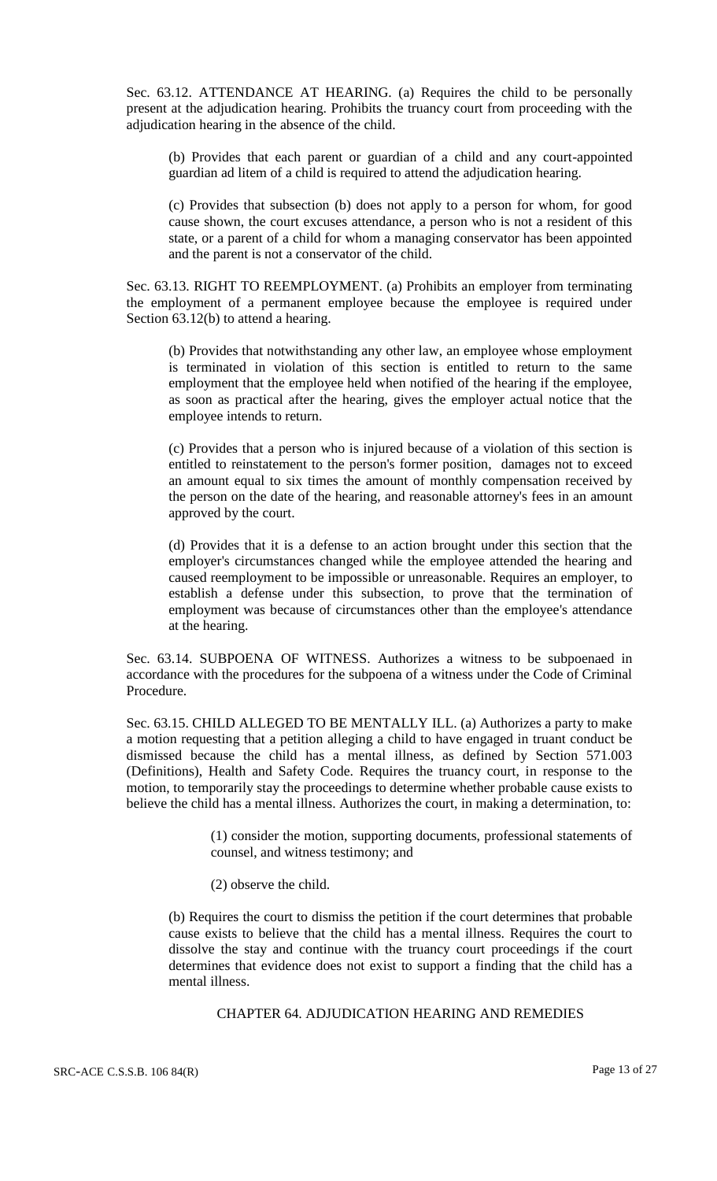Sec. 63.12. ATTENDANCE AT HEARING. (a) Requires the child to be personally present at the adjudication hearing. Prohibits the truancy court from proceeding with the adjudication hearing in the absence of the child.

(b) Provides that each parent or guardian of a child and any court-appointed guardian ad litem of a child is required to attend the adjudication hearing.

(c) Provides that subsection (b) does not apply to a person for whom, for good cause shown, the court excuses attendance, a person who is not a resident of this state, or a parent of a child for whom a managing conservator has been appointed and the parent is not a conservator of the child.

Sec. 63.13. RIGHT TO REEMPLOYMENT. (a) Prohibits an employer from terminating the employment of a permanent employee because the employee is required under Section 63.12(b) to attend a hearing.

(b) Provides that notwithstanding any other law, an employee whose employment is terminated in violation of this section is entitled to return to the same employment that the employee held when notified of the hearing if the employee, as soon as practical after the hearing, gives the employer actual notice that the employee intends to return.

(c) Provides that a person who is injured because of a violation of this section is entitled to reinstatement to the person's former position, damages not to exceed an amount equal to six times the amount of monthly compensation received by the person on the date of the hearing, and reasonable attorney's fees in an amount approved by the court.

(d) Provides that it is a defense to an action brought under this section that the employer's circumstances changed while the employee attended the hearing and caused reemployment to be impossible or unreasonable. Requires an employer, to establish a defense under this subsection, to prove that the termination of employment was because of circumstances other than the employee's attendance at the hearing.

Sec. 63.14. SUBPOENA OF WITNESS. Authorizes a witness to be subpoenaed in accordance with the procedures for the subpoena of a witness under the Code of Criminal Procedure.

Sec. 63.15. CHILD ALLEGED TO BE MENTALLY ILL. (a) Authorizes a party to make a motion requesting that a petition alleging a child to have engaged in truant conduct be dismissed because the child has a mental illness, as defined by Section 571.003 (Definitions), Health and Safety Code. Requires the truancy court, in response to the motion, to temporarily stay the proceedings to determine whether probable cause exists to believe the child has a mental illness. Authorizes the court, in making a determination, to:

> (1) consider the motion, supporting documents, professional statements of counsel, and witness testimony; and

(2) observe the child.

(b) Requires the court to dismiss the petition if the court determines that probable cause exists to believe that the child has a mental illness. Requires the court to dissolve the stay and continue with the truancy court proceedings if the court determines that evidence does not exist to support a finding that the child has a mental illness.

# CHAPTER 64. ADJUDICATION HEARING AND REMEDIES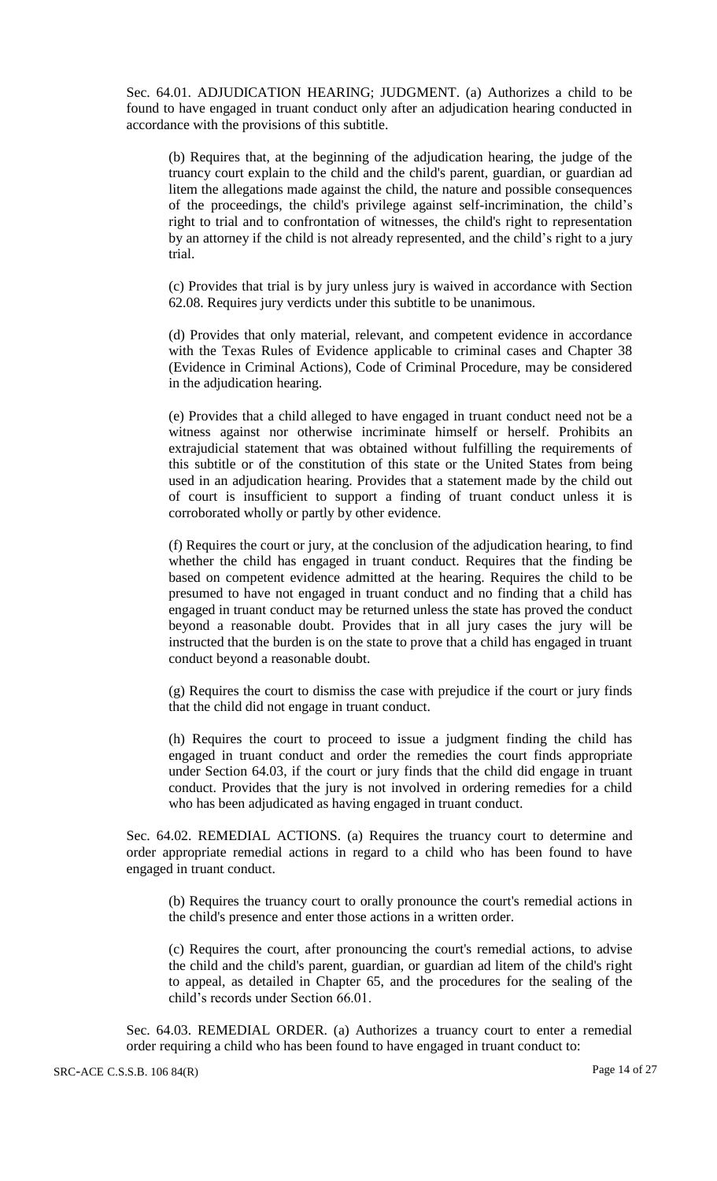Sec. 64.01. ADJUDICATION HEARING; JUDGMENT. (a) Authorizes a child to be found to have engaged in truant conduct only after an adjudication hearing conducted in accordance with the provisions of this subtitle.

(b) Requires that, at the beginning of the adjudication hearing, the judge of the truancy court explain to the child and the child's parent, guardian, or guardian ad litem the allegations made against the child, the nature and possible consequences of the proceedings, the child's privilege against self-incrimination, the child's right to trial and to confrontation of witnesses, the child's right to representation by an attorney if the child is not already represented, and the child's right to a jury trial.

(c) Provides that trial is by jury unless jury is waived in accordance with Section 62.08. Requires jury verdicts under this subtitle to be unanimous.

(d) Provides that only material, relevant, and competent evidence in accordance with the Texas Rules of Evidence applicable to criminal cases and Chapter 38 (Evidence in Criminal Actions), Code of Criminal Procedure, may be considered in the adjudication hearing.

(e) Provides that a child alleged to have engaged in truant conduct need not be a witness against nor otherwise incriminate himself or herself. Prohibits an extrajudicial statement that was obtained without fulfilling the requirements of this subtitle or of the constitution of this state or the United States from being used in an adjudication hearing. Provides that a statement made by the child out of court is insufficient to support a finding of truant conduct unless it is corroborated wholly or partly by other evidence.

(f) Requires the court or jury, at the conclusion of the adjudication hearing, to find whether the child has engaged in truant conduct. Requires that the finding be based on competent evidence admitted at the hearing. Requires the child to be presumed to have not engaged in truant conduct and no finding that a child has engaged in truant conduct may be returned unless the state has proved the conduct beyond a reasonable doubt. Provides that in all jury cases the jury will be instructed that the burden is on the state to prove that a child has engaged in truant conduct beyond a reasonable doubt.

(g) Requires the court to dismiss the case with prejudice if the court or jury finds that the child did not engage in truant conduct.

(h) Requires the court to proceed to issue a judgment finding the child has engaged in truant conduct and order the remedies the court finds appropriate under Section 64.03, if the court or jury finds that the child did engage in truant conduct. Provides that the jury is not involved in ordering remedies for a child who has been adjudicated as having engaged in truant conduct.

Sec. 64.02. REMEDIAL ACTIONS. (a) Requires the truancy court to determine and order appropriate remedial actions in regard to a child who has been found to have engaged in truant conduct.

(b) Requires the truancy court to orally pronounce the court's remedial actions in the child's presence and enter those actions in a written order.

(c) Requires the court, after pronouncing the court's remedial actions, to advise the child and the child's parent, guardian, or guardian ad litem of the child's right to appeal, as detailed in Chapter 65, and the procedures for the sealing of the child's records under Section 66.01.

Sec. 64.03. REMEDIAL ORDER. (a) Authorizes a truancy court to enter a remedial order requiring a child who has been found to have engaged in truant conduct to: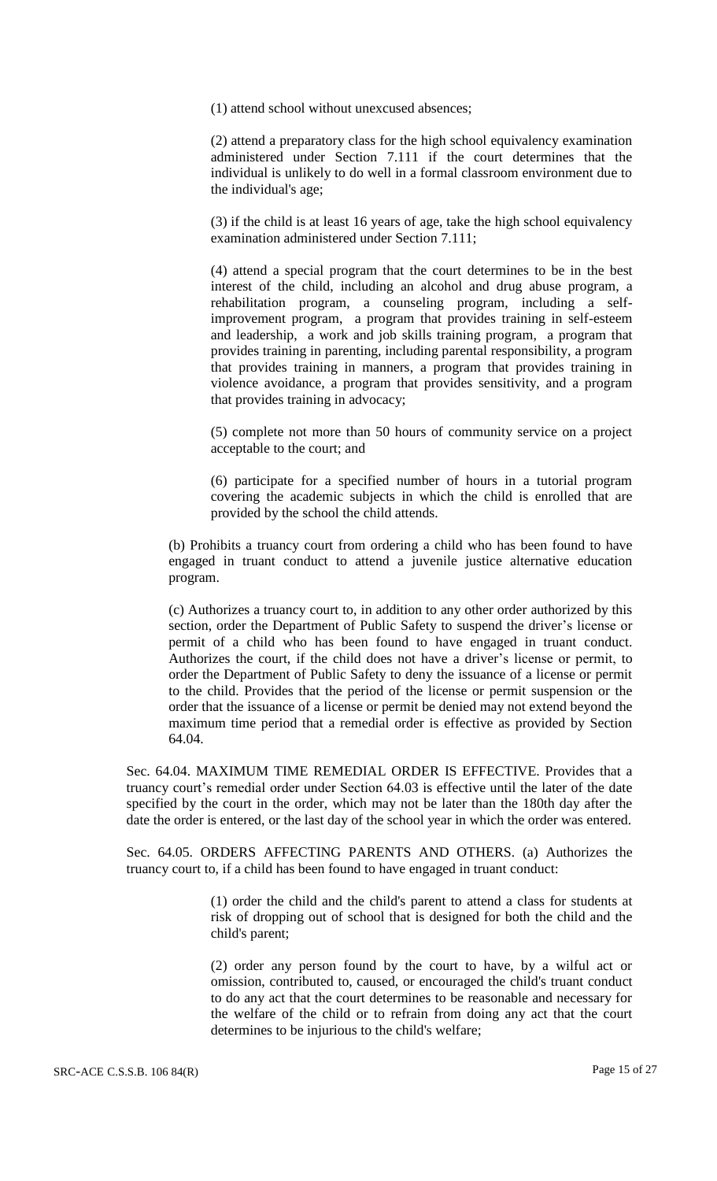(1) attend school without unexcused absences;

(2) attend a preparatory class for the high school equivalency examination administered under Section 7.111 if the court determines that the individual is unlikely to do well in a formal classroom environment due to the individual's age;

(3) if the child is at least 16 years of age, take the high school equivalency examination administered under Section 7.111;

(4) attend a special program that the court determines to be in the best interest of the child, including an alcohol and drug abuse program, a rehabilitation program, a counseling program, including a selfimprovement program, a program that provides training in self-esteem and leadership, a work and job skills training program, a program that provides training in parenting, including parental responsibility, a program that provides training in manners, a program that provides training in violence avoidance, a program that provides sensitivity, and a program that provides training in advocacy;

(5) complete not more than 50 hours of community service on a project acceptable to the court; and

(6) participate for a specified number of hours in a tutorial program covering the academic subjects in which the child is enrolled that are provided by the school the child attends.

(b) Prohibits a truancy court from ordering a child who has been found to have engaged in truant conduct to attend a juvenile justice alternative education program.

(c) Authorizes a truancy court to, in addition to any other order authorized by this section, order the Department of Public Safety to suspend the driver's license or permit of a child who has been found to have engaged in truant conduct. Authorizes the court, if the child does not have a driver's license or permit, to order the Department of Public Safety to deny the issuance of a license or permit to the child. Provides that the period of the license or permit suspension or the order that the issuance of a license or permit be denied may not extend beyond the maximum time period that a remedial order is effective as provided by Section 64.04.

Sec. 64.04. MAXIMUM TIME REMEDIAL ORDER IS EFFECTIVE. Provides that a truancy court's remedial order under Section 64.03 is effective until the later of the date specified by the court in the order, which may not be later than the 180th day after the date the order is entered, or the last day of the school year in which the order was entered.

Sec. 64.05. ORDERS AFFECTING PARENTS AND OTHERS. (a) Authorizes the truancy court to, if a child has been found to have engaged in truant conduct:

> (1) order the child and the child's parent to attend a class for students at risk of dropping out of school that is designed for both the child and the child's parent;

> (2) order any person found by the court to have, by a wilful act or omission, contributed to, caused, or encouraged the child's truant conduct to do any act that the court determines to be reasonable and necessary for the welfare of the child or to refrain from doing any act that the court determines to be injurious to the child's welfare;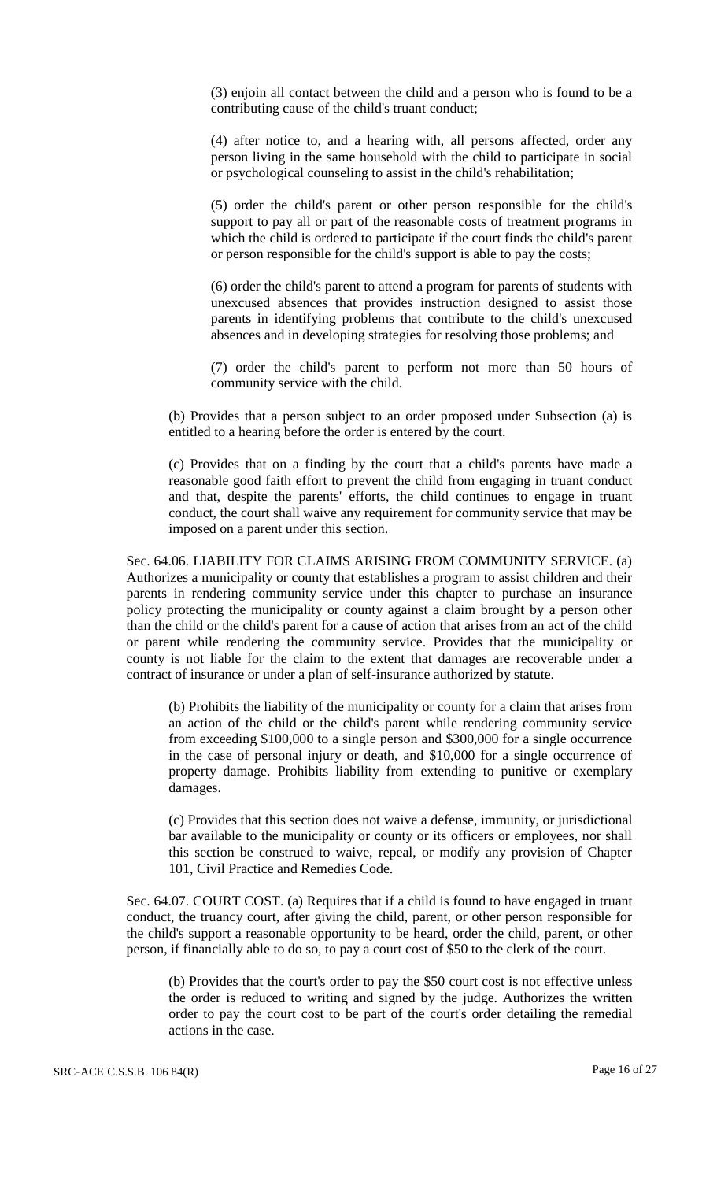(3) enjoin all contact between the child and a person who is found to be a contributing cause of the child's truant conduct;

(4) after notice to, and a hearing with, all persons affected, order any person living in the same household with the child to participate in social or psychological counseling to assist in the child's rehabilitation;

(5) order the child's parent or other person responsible for the child's support to pay all or part of the reasonable costs of treatment programs in which the child is ordered to participate if the court finds the child's parent or person responsible for the child's support is able to pay the costs;

(6) order the child's parent to attend a program for parents of students with unexcused absences that provides instruction designed to assist those parents in identifying problems that contribute to the child's unexcused absences and in developing strategies for resolving those problems; and

(7) order the child's parent to perform not more than 50 hours of community service with the child.

(b) Provides that a person subject to an order proposed under Subsection (a) is entitled to a hearing before the order is entered by the court.

(c) Provides that on a finding by the court that a child's parents have made a reasonable good faith effort to prevent the child from engaging in truant conduct and that, despite the parents' efforts, the child continues to engage in truant conduct, the court shall waive any requirement for community service that may be imposed on a parent under this section.

Sec. 64.06. LIABILITY FOR CLAIMS ARISING FROM COMMUNITY SERVICE. (a) Authorizes a municipality or county that establishes a program to assist children and their parents in rendering community service under this chapter to purchase an insurance policy protecting the municipality or county against a claim brought by a person other than the child or the child's parent for a cause of action that arises from an act of the child or parent while rendering the community service. Provides that the municipality or county is not liable for the claim to the extent that damages are recoverable under a contract of insurance or under a plan of self-insurance authorized by statute.

(b) Prohibits the liability of the municipality or county for a claim that arises from an action of the child or the child's parent while rendering community service from exceeding \$100,000 to a single person and \$300,000 for a single occurrence in the case of personal injury or death, and \$10,000 for a single occurrence of property damage. Prohibits liability from extending to punitive or exemplary damages.

(c) Provides that this section does not waive a defense, immunity, or jurisdictional bar available to the municipality or county or its officers or employees, nor shall this section be construed to waive, repeal, or modify any provision of Chapter 101, Civil Practice and Remedies Code.

Sec. 64.07. COURT COST. (a) Requires that if a child is found to have engaged in truant conduct, the truancy court, after giving the child, parent, or other person responsible for the child's support a reasonable opportunity to be heard, order the child, parent, or other person, if financially able to do so, to pay a court cost of \$50 to the clerk of the court.

(b) Provides that the court's order to pay the \$50 court cost is not effective unless the order is reduced to writing and signed by the judge. Authorizes the written order to pay the court cost to be part of the court's order detailing the remedial actions in the case.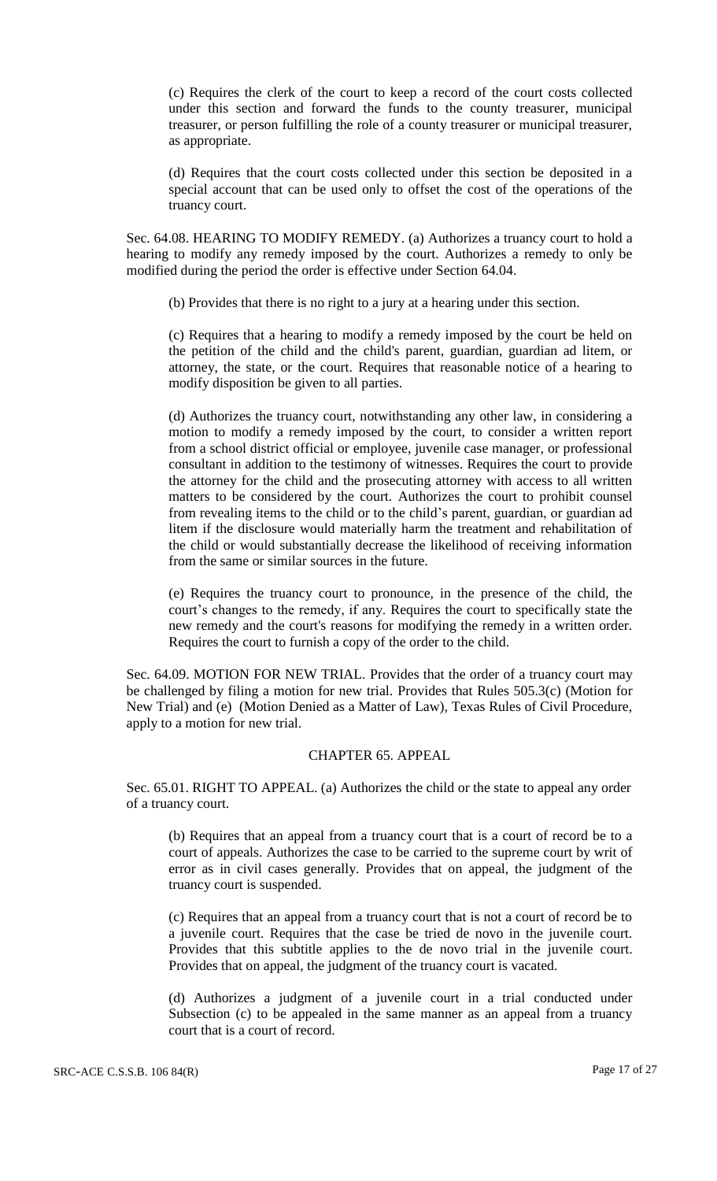(c) Requires the clerk of the court to keep a record of the court costs collected under this section and forward the funds to the county treasurer, municipal treasurer, or person fulfilling the role of a county treasurer or municipal treasurer, as appropriate.

(d) Requires that the court costs collected under this section be deposited in a special account that can be used only to offset the cost of the operations of the truancy court.

Sec. 64.08. HEARING TO MODIFY REMEDY. (a) Authorizes a truancy court to hold a hearing to modify any remedy imposed by the court. Authorizes a remedy to only be modified during the period the order is effective under Section 64.04.

(b) Provides that there is no right to a jury at a hearing under this section.

(c) Requires that a hearing to modify a remedy imposed by the court be held on the petition of the child and the child's parent, guardian, guardian ad litem, or attorney, the state, or the court. Requires that reasonable notice of a hearing to modify disposition be given to all parties.

(d) Authorizes the truancy court, notwithstanding any other law, in considering a motion to modify a remedy imposed by the court, to consider a written report from a school district official or employee, juvenile case manager, or professional consultant in addition to the testimony of witnesses. Requires the court to provide the attorney for the child and the prosecuting attorney with access to all written matters to be considered by the court. Authorizes the court to prohibit counsel from revealing items to the child or to the child's parent, guardian, or guardian ad litem if the disclosure would materially harm the treatment and rehabilitation of the child or would substantially decrease the likelihood of receiving information from the same or similar sources in the future.

(e) Requires the truancy court to pronounce, in the presence of the child, the court's changes to the remedy, if any. Requires the court to specifically state the new remedy and the court's reasons for modifying the remedy in a written order. Requires the court to furnish a copy of the order to the child.

Sec. 64.09. MOTION FOR NEW TRIAL. Provides that the order of a truancy court may be challenged by filing a motion for new trial. Provides that Rules 505.3(c) (Motion for New Trial) and (e) (Motion Denied as a Matter of Law), Texas Rules of Civil Procedure, apply to a motion for new trial.

#### CHAPTER 65. APPEAL

Sec. 65.01. RIGHT TO APPEAL. (a) Authorizes the child or the state to appeal any order of a truancy court.

(b) Requires that an appeal from a truancy court that is a court of record be to a court of appeals. Authorizes the case to be carried to the supreme court by writ of error as in civil cases generally. Provides that on appeal, the judgment of the truancy court is suspended.

(c) Requires that an appeal from a truancy court that is not a court of record be to a juvenile court. Requires that the case be tried de novo in the juvenile court. Provides that this subtitle applies to the de novo trial in the juvenile court. Provides that on appeal, the judgment of the truancy court is vacated.

(d) Authorizes a judgment of a juvenile court in a trial conducted under Subsection (c) to be appealed in the same manner as an appeal from a truancy court that is a court of record.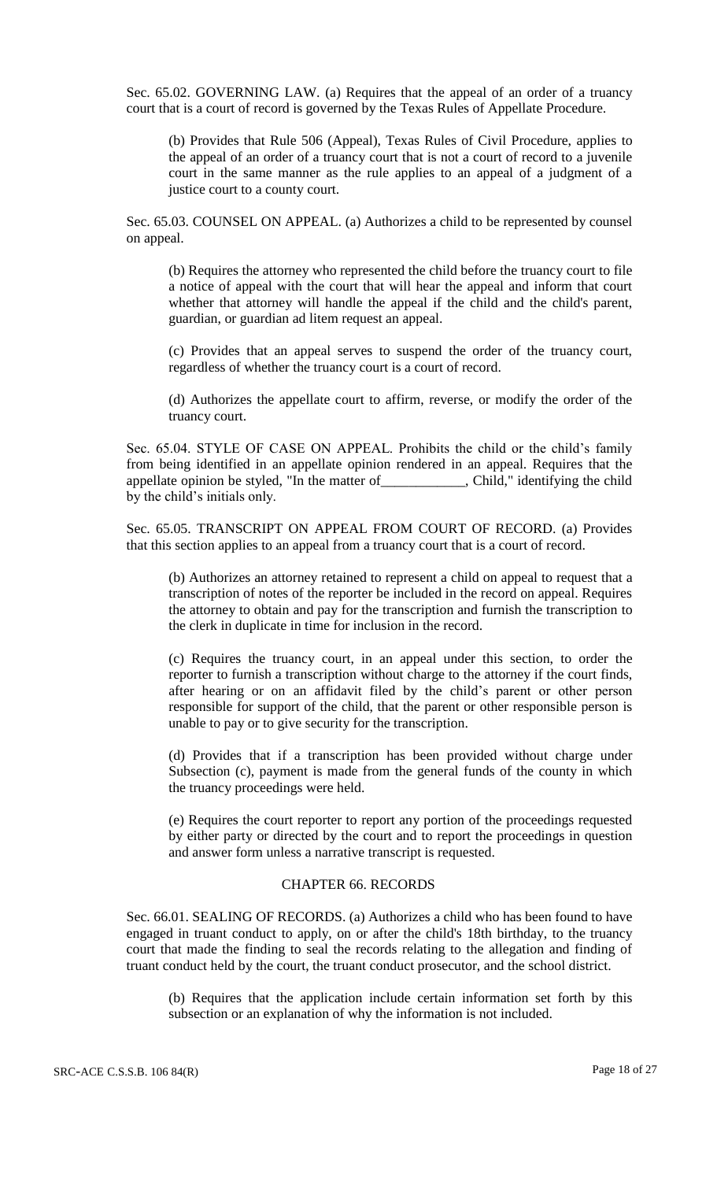Sec. 65.02. GOVERNING LAW. (a) Requires that the appeal of an order of a truancy court that is a court of record is governed by the Texas Rules of Appellate Procedure.

(b) Provides that Rule 506 (Appeal), Texas Rules of Civil Procedure, applies to the appeal of an order of a truancy court that is not a court of record to a juvenile court in the same manner as the rule applies to an appeal of a judgment of a justice court to a county court.

Sec. 65.03. COUNSEL ON APPEAL. (a) Authorizes a child to be represented by counsel on appeal.

(b) Requires the attorney who represented the child before the truancy court to file a notice of appeal with the court that will hear the appeal and inform that court whether that attorney will handle the appeal if the child and the child's parent, guardian, or guardian ad litem request an appeal.

(c) Provides that an appeal serves to suspend the order of the truancy court, regardless of whether the truancy court is a court of record.

(d) Authorizes the appellate court to affirm, reverse, or modify the order of the truancy court.

Sec. 65.04. STYLE OF CASE ON APPEAL. Prohibits the child or the child's family from being identified in an appellate opinion rendered in an appeal. Requires that the appellate opinion be styled, "In the matter of\_\_\_\_\_\_\_\_\_\_\_\_, Child," identifying the child by the child's initials only.

Sec. 65.05. TRANSCRIPT ON APPEAL FROM COURT OF RECORD. (a) Provides that this section applies to an appeal from a truancy court that is a court of record.

(b) Authorizes an attorney retained to represent a child on appeal to request that a transcription of notes of the reporter be included in the record on appeal. Requires the attorney to obtain and pay for the transcription and furnish the transcription to the clerk in duplicate in time for inclusion in the record.

(c) Requires the truancy court, in an appeal under this section, to order the reporter to furnish a transcription without charge to the attorney if the court finds, after hearing or on an affidavit filed by the child's parent or other person responsible for support of the child, that the parent or other responsible person is unable to pay or to give security for the transcription.

(d) Provides that if a transcription has been provided without charge under Subsection (c), payment is made from the general funds of the county in which the truancy proceedings were held.

(e) Requires the court reporter to report any portion of the proceedings requested by either party or directed by the court and to report the proceedings in question and answer form unless a narrative transcript is requested.

#### CHAPTER 66. RECORDS

Sec. 66.01. SEALING OF RECORDS. (a) Authorizes a child who has been found to have engaged in truant conduct to apply, on or after the child's 18th birthday, to the truancy court that made the finding to seal the records relating to the allegation and finding of truant conduct held by the court, the truant conduct prosecutor, and the school district.

(b) Requires that the application include certain information set forth by this subsection or an explanation of why the information is not included.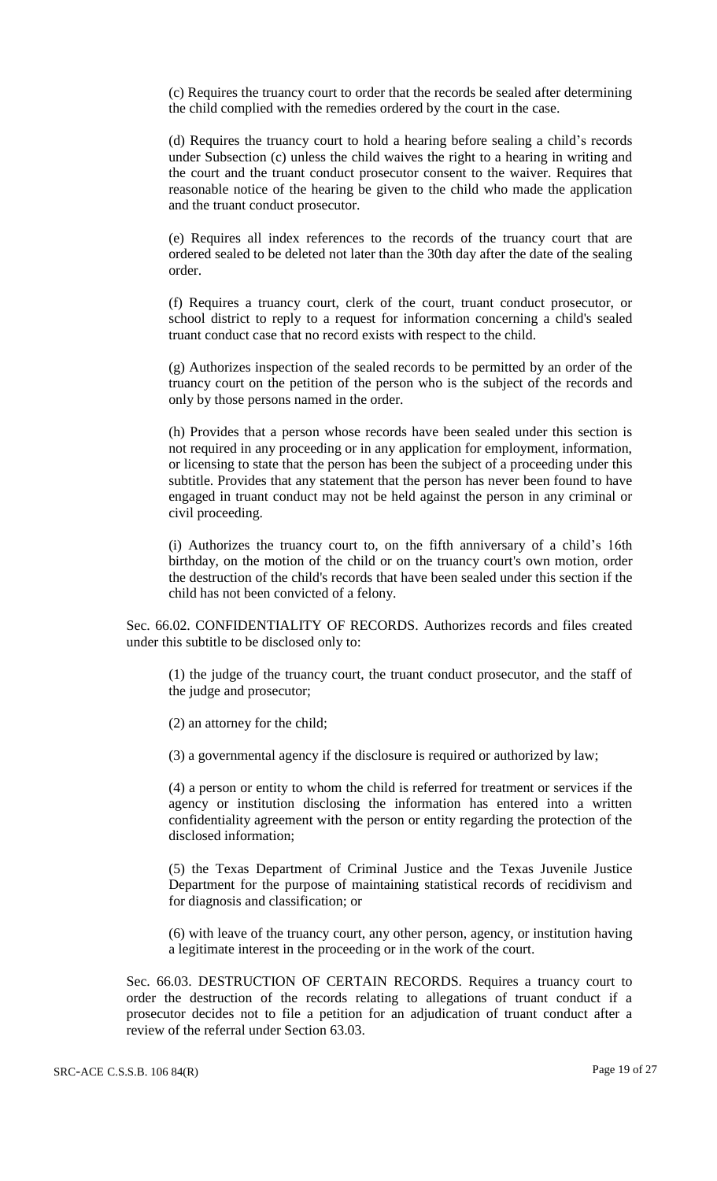(c) Requires the truancy court to order that the records be sealed after determining the child complied with the remedies ordered by the court in the case.

(d) Requires the truancy court to hold a hearing before sealing a child's records under Subsection (c) unless the child waives the right to a hearing in writing and the court and the truant conduct prosecutor consent to the waiver. Requires that reasonable notice of the hearing be given to the child who made the application and the truant conduct prosecutor.

(e) Requires all index references to the records of the truancy court that are ordered sealed to be deleted not later than the 30th day after the date of the sealing order.

(f) Requires a truancy court, clerk of the court, truant conduct prosecutor, or school district to reply to a request for information concerning a child's sealed truant conduct case that no record exists with respect to the child.

(g) Authorizes inspection of the sealed records to be permitted by an order of the truancy court on the petition of the person who is the subject of the records and only by those persons named in the order.

(h) Provides that a person whose records have been sealed under this section is not required in any proceeding or in any application for employment, information, or licensing to state that the person has been the subject of a proceeding under this subtitle. Provides that any statement that the person has never been found to have engaged in truant conduct may not be held against the person in any criminal or civil proceeding.

(i) Authorizes the truancy court to, on the fifth anniversary of a child's 16th birthday, on the motion of the child or on the truancy court's own motion, order the destruction of the child's records that have been sealed under this section if the child has not been convicted of a felony.

Sec. 66.02. CONFIDENTIALITY OF RECORDS. Authorizes records and files created under this subtitle to be disclosed only to:

(1) the judge of the truancy court, the truant conduct prosecutor, and the staff of the judge and prosecutor;

(2) an attorney for the child;

(3) a governmental agency if the disclosure is required or authorized by law;

(4) a person or entity to whom the child is referred for treatment or services if the agency or institution disclosing the information has entered into a written confidentiality agreement with the person or entity regarding the protection of the disclosed information;

(5) the Texas Department of Criminal Justice and the Texas Juvenile Justice Department for the purpose of maintaining statistical records of recidivism and for diagnosis and classification; or

(6) with leave of the truancy court, any other person, agency, or institution having a legitimate interest in the proceeding or in the work of the court.

Sec. 66.03. DESTRUCTION OF CERTAIN RECORDS. Requires a truancy court to order the destruction of the records relating to allegations of truant conduct if a prosecutor decides not to file a petition for an adjudication of truant conduct after a review of the referral under Section 63.03.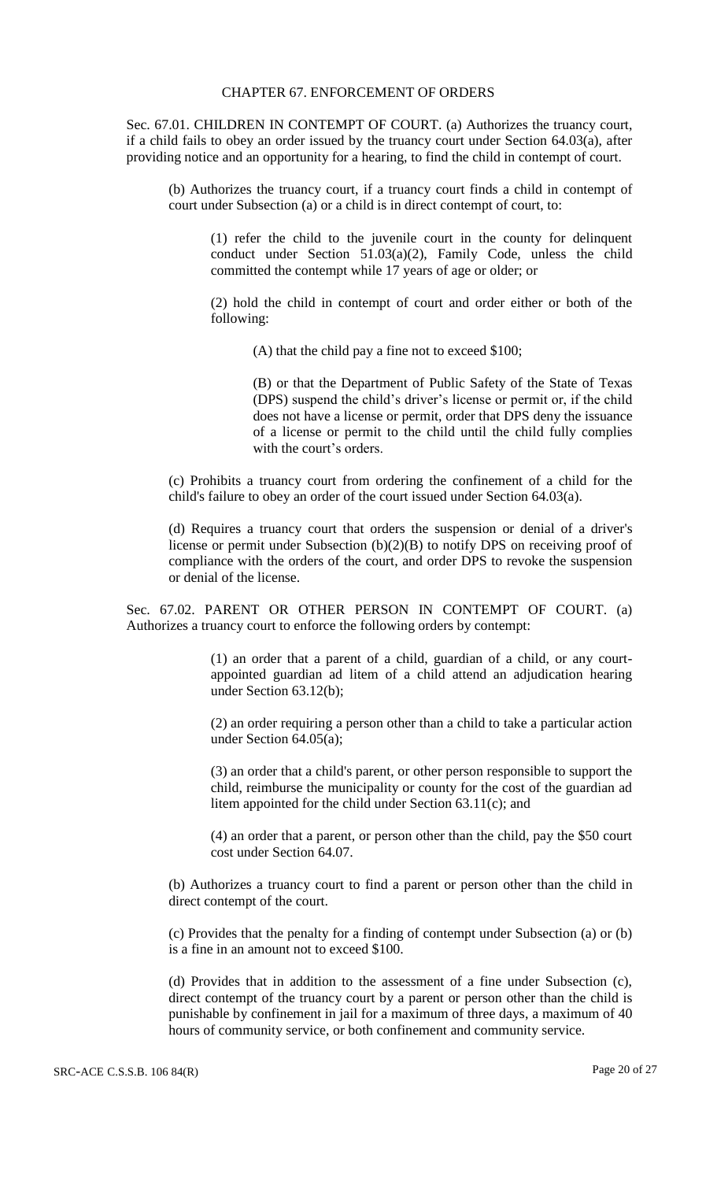#### CHAPTER 67. ENFORCEMENT OF ORDERS

Sec. 67.01. CHILDREN IN CONTEMPT OF COURT. (a) Authorizes the truancy court, if a child fails to obey an order issued by the truancy court under Section 64.03(a), after providing notice and an opportunity for a hearing, to find the child in contempt of court.

(b) Authorizes the truancy court, if a truancy court finds a child in contempt of court under Subsection (a) or a child is in direct contempt of court, to:

(1) refer the child to the juvenile court in the county for delinquent conduct under Section 51.03(a)(2), Family Code, unless the child committed the contempt while 17 years of age or older; or

(2) hold the child in contempt of court and order either or both of the following:

(A) that the child pay a fine not to exceed \$100;

(B) or that the Department of Public Safety of the State of Texas (DPS) suspend the child's driver's license or permit or, if the child does not have a license or permit, order that DPS deny the issuance of a license or permit to the child until the child fully complies with the court's orders.

(c) Prohibits a truancy court from ordering the confinement of a child for the child's failure to obey an order of the court issued under Section 64.03(a).

(d) Requires a truancy court that orders the suspension or denial of a driver's license or permit under Subsection (b)(2)(B) to notify DPS on receiving proof of compliance with the orders of the court, and order DPS to revoke the suspension or denial of the license.

Sec. 67.02. PARENT OR OTHER PERSON IN CONTEMPT OF COURT. (a) Authorizes a truancy court to enforce the following orders by contempt:

> (1) an order that a parent of a child, guardian of a child, or any courtappointed guardian ad litem of a child attend an adjudication hearing under Section 63.12(b);

> (2) an order requiring a person other than a child to take a particular action under Section 64.05(a);

> (3) an order that a child's parent, or other person responsible to support the child, reimburse the municipality or county for the cost of the guardian ad litem appointed for the child under Section 63.11(c); and

> (4) an order that a parent, or person other than the child, pay the \$50 court cost under Section 64.07.

(b) Authorizes a truancy court to find a parent or person other than the child in direct contempt of the court.

(c) Provides that the penalty for a finding of contempt under Subsection (a) or (b) is a fine in an amount not to exceed \$100.

(d) Provides that in addition to the assessment of a fine under Subsection (c), direct contempt of the truancy court by a parent or person other than the child is punishable by confinement in jail for a maximum of three days, a maximum of 40 hours of community service, or both confinement and community service.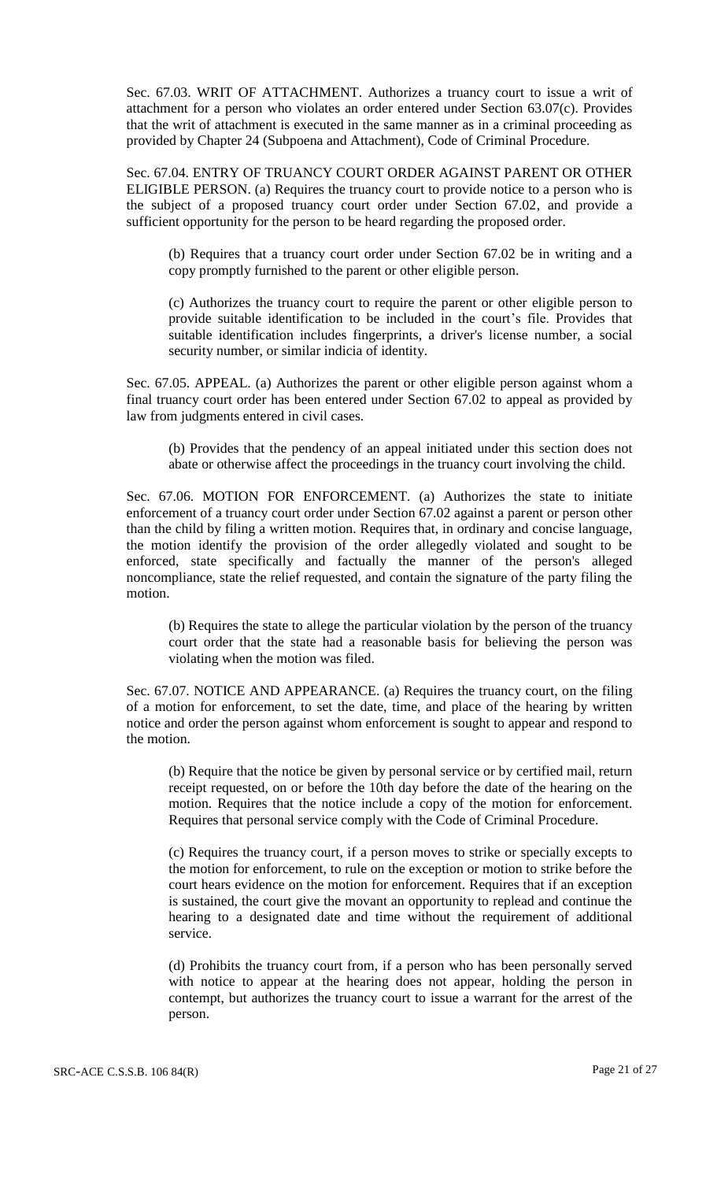Sec. 67.03. WRIT OF ATTACHMENT. Authorizes a truancy court to issue a writ of attachment for a person who violates an order entered under Section 63.07(c). Provides that the writ of attachment is executed in the same manner as in a criminal proceeding as provided by Chapter 24 (Subpoena and Attachment), Code of Criminal Procedure.

Sec. 67.04. ENTRY OF TRUANCY COURT ORDER AGAINST PARENT OR OTHER ELIGIBLE PERSON. (a) Requires the truancy court to provide notice to a person who is the subject of a proposed truancy court order under Section 67.02, and provide a sufficient opportunity for the person to be heard regarding the proposed order.

(b) Requires that a truancy court order under Section 67.02 be in writing and a copy promptly furnished to the parent or other eligible person.

(c) Authorizes the truancy court to require the parent or other eligible person to provide suitable identification to be included in the court's file. Provides that suitable identification includes fingerprints, a driver's license number, a social security number, or similar indicia of identity.

Sec. 67.05. APPEAL. (a) Authorizes the parent or other eligible person against whom a final truancy court order has been entered under Section 67.02 to appeal as provided by law from judgments entered in civil cases.

(b) Provides that the pendency of an appeal initiated under this section does not abate or otherwise affect the proceedings in the truancy court involving the child.

Sec. 67.06. MOTION FOR ENFORCEMENT. (a) Authorizes the state to initiate enforcement of a truancy court order under Section 67.02 against a parent or person other than the child by filing a written motion. Requires that, in ordinary and concise language, the motion identify the provision of the order allegedly violated and sought to be enforced, state specifically and factually the manner of the person's alleged noncompliance, state the relief requested, and contain the signature of the party filing the motion.

(b) Requires the state to allege the particular violation by the person of the truancy court order that the state had a reasonable basis for believing the person was violating when the motion was filed.

Sec. 67.07. NOTICE AND APPEARANCE. (a) Requires the truancy court, on the filing of a motion for enforcement, to set the date, time, and place of the hearing by written notice and order the person against whom enforcement is sought to appear and respond to the motion.

(b) Require that the notice be given by personal service or by certified mail, return receipt requested, on or before the 10th day before the date of the hearing on the motion. Requires that the notice include a copy of the motion for enforcement. Requires that personal service comply with the Code of Criminal Procedure.

(c) Requires the truancy court, if a person moves to strike or specially excepts to the motion for enforcement, to rule on the exception or motion to strike before the court hears evidence on the motion for enforcement. Requires that if an exception is sustained, the court give the movant an opportunity to replead and continue the hearing to a designated date and time without the requirement of additional service.

(d) Prohibits the truancy court from, if a person who has been personally served with notice to appear at the hearing does not appear, holding the person in contempt, but authorizes the truancy court to issue a warrant for the arrest of the person.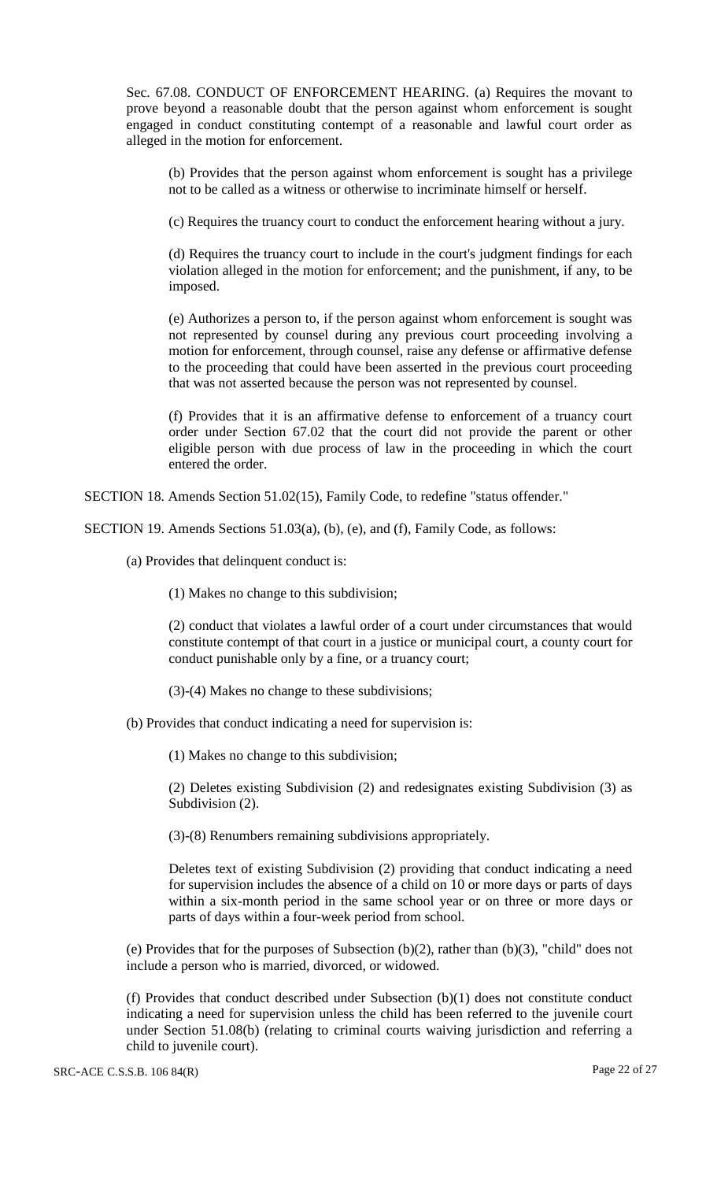Sec. 67.08. CONDUCT OF ENFORCEMENT HEARING. (a) Requires the movant to prove beyond a reasonable doubt that the person against whom enforcement is sought engaged in conduct constituting contempt of a reasonable and lawful court order as alleged in the motion for enforcement.

(b) Provides that the person against whom enforcement is sought has a privilege not to be called as a witness or otherwise to incriminate himself or herself.

(c) Requires the truancy court to conduct the enforcement hearing without a jury.

(d) Requires the truancy court to include in the court's judgment findings for each violation alleged in the motion for enforcement; and the punishment, if any, to be imposed.

(e) Authorizes a person to, if the person against whom enforcement is sought was not represented by counsel during any previous court proceeding involving a motion for enforcement, through counsel, raise any defense or affirmative defense to the proceeding that could have been asserted in the previous court proceeding that was not asserted because the person was not represented by counsel.

(f) Provides that it is an affirmative defense to enforcement of a truancy court order under Section 67.02 that the court did not provide the parent or other eligible person with due process of law in the proceeding in which the court entered the order.

SECTION 18. Amends Section 51.02(15), Family Code, to redefine "status offender."

SECTION 19. Amends Sections 51.03(a), (b), (e), and (f), Family Code, as follows:

(a) Provides that delinquent conduct is:

(1) Makes no change to this subdivision;

(2) conduct that violates a lawful order of a court under circumstances that would constitute contempt of that court in a justice or municipal court, a county court for conduct punishable only by a fine, or a truancy court;

(3)-(4) Makes no change to these subdivisions;

(b) Provides that conduct indicating a need for supervision is:

(1) Makes no change to this subdivision;

(2) Deletes existing Subdivision (2) and redesignates existing Subdivision (3) as Subdivision (2).

(3)-(8) Renumbers remaining subdivisions appropriately.

Deletes text of existing Subdivision (2) providing that conduct indicating a need for supervision includes the absence of a child on 10 or more days or parts of days within a six-month period in the same school year or on three or more days or parts of days within a four-week period from school.

(e) Provides that for the purposes of Subsection (b)(2), rather than (b)(3), "child" does not include a person who is married, divorced, or widowed.

(f) Provides that conduct described under Subsection (b)(1) does not constitute conduct indicating a need for supervision unless the child has been referred to the juvenile court under Section 51.08(b) (relating to criminal courts waiving jurisdiction and referring a child to juvenile court).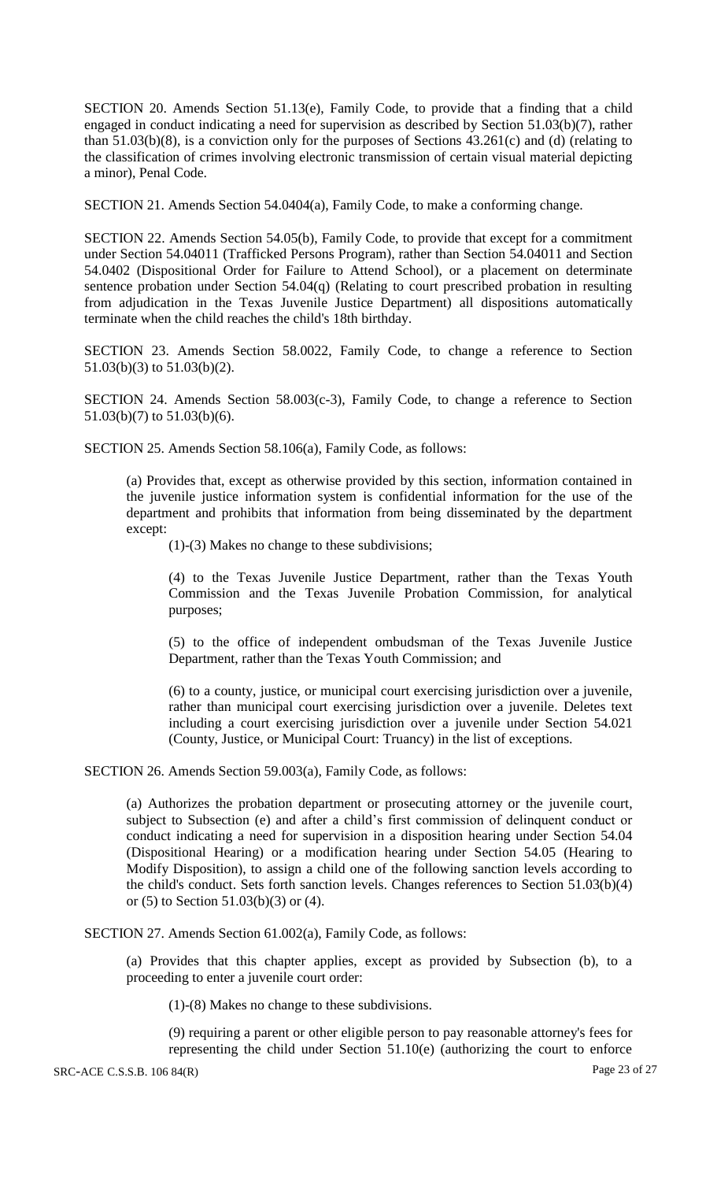SECTION 20. Amends Section 51.13(e), Family Code, to provide that a finding that a child engaged in conduct indicating a need for supervision as described by Section 51.03(b)(7), rather than 51.03(b)(8), is a conviction only for the purposes of Sections 43.261(c) and (d) (relating to the classification of crimes involving electronic transmission of certain visual material depicting a minor), Penal Code.

SECTION 21. Amends Section 54.0404(a), Family Code, to make a conforming change.

SECTION 22. Amends Section 54.05(b), Family Code, to provide that except for a commitment under Section 54.04011 (Trafficked Persons Program), rather than Section 54.04011 and Section 54.0402 (Dispositional Order for Failure to Attend School), or a placement on determinate sentence probation under Section 54.04(q) (Relating to court prescribed probation in resulting from adjudication in the Texas Juvenile Justice Department) all dispositions automatically terminate when the child reaches the child's 18th birthday.

SECTION 23. Amends Section 58.0022, Family Code, to change a reference to Section 51.03(b)(3) to 51.03(b)(2).

SECTION 24. Amends Section 58.003(c-3), Family Code, to change a reference to Section 51.03(b)(7) to 51.03(b)(6).

SECTION 25. Amends Section 58.106(a), Family Code, as follows:

(a) Provides that, except as otherwise provided by this section, information contained in the juvenile justice information system is confidential information for the use of the department and prohibits that information from being disseminated by the department except:

(1)-(3) Makes no change to these subdivisions;

(4) to the Texas Juvenile Justice Department, rather than the Texas Youth Commission and the Texas Juvenile Probation Commission, for analytical purposes;

(5) to the office of independent ombudsman of the Texas Juvenile Justice Department, rather than the Texas Youth Commission; and

(6) to a county, justice, or municipal court exercising jurisdiction over a juvenile, rather than municipal court exercising jurisdiction over a juvenile. Deletes text including a court exercising jurisdiction over a juvenile under Section 54.021 (County, Justice, or Municipal Court: Truancy) in the list of exceptions.

SECTION 26. Amends Section 59.003(a), Family Code, as follows:

(a) Authorizes the probation department or prosecuting attorney or the juvenile court, subject to Subsection (e) and after a child's first commission of delinquent conduct or conduct indicating a need for supervision in a disposition hearing under Section 54.04 (Dispositional Hearing) or a modification hearing under Section 54.05 (Hearing to Modify Disposition), to assign a child one of the following sanction levels according to the child's conduct. Sets forth sanction levels. Changes references to Section 51.03(b)(4) or (5) to Section 51.03(b)(3) or (4).

SECTION 27. Amends Section 61.002(a), Family Code, as follows:

(a) Provides that this chapter applies, except as provided by Subsection (b), to a proceeding to enter a juvenile court order:

(1)-(8) Makes no change to these subdivisions.

(9) requiring a parent or other eligible person to pay reasonable attorney's fees for representing the child under Section 51.10(e) (authorizing the court to enforce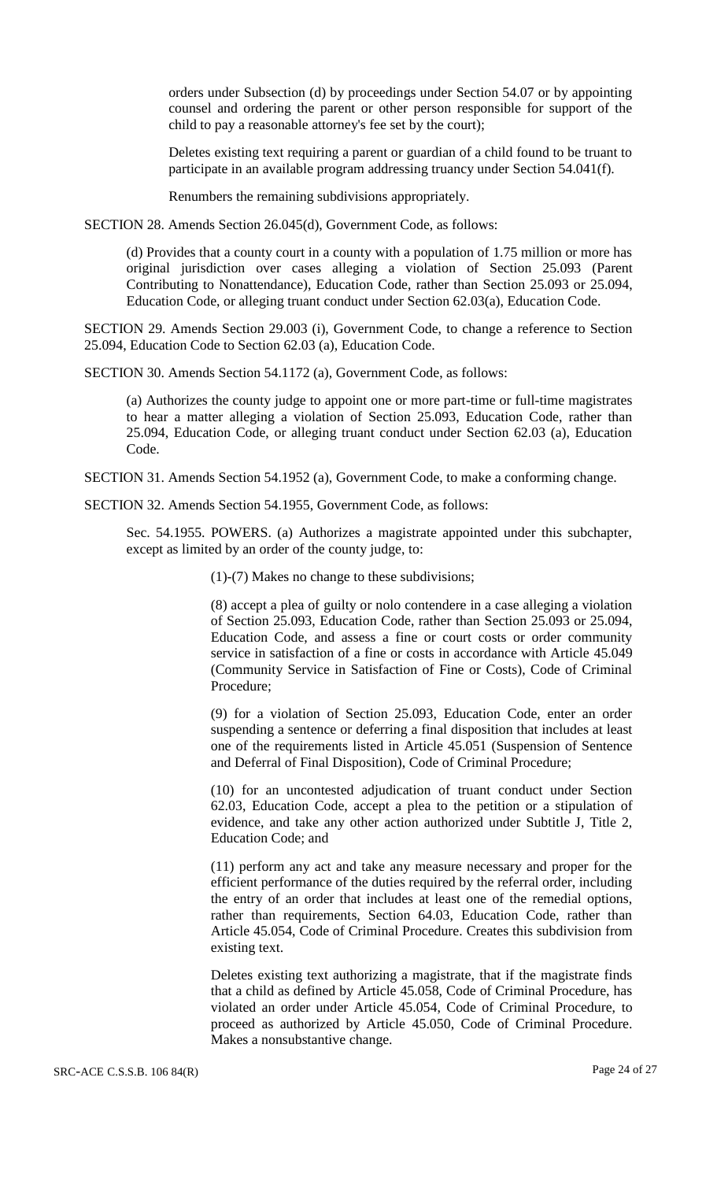orders under Subsection (d) by proceedings under Section 54.07 or by appointing counsel and ordering the parent or other person responsible for support of the child to pay a reasonable attorney's fee set by the court);

Deletes existing text requiring a parent or guardian of a child found to be truant to participate in an available program addressing truancy under Section 54.041(f).

Renumbers the remaining subdivisions appropriately.

SECTION 28. Amends Section 26.045(d), Government Code, as follows:

(d) Provides that a county court in a county with a population of 1.75 million or more has original jurisdiction over cases alleging a violation of Section 25.093 (Parent Contributing to Nonattendance), Education Code, rather than Section 25.093 or 25.094, Education Code, or alleging truant conduct under Section 62.03(a), Education Code.

SECTION 29. Amends Section 29.003 (i), Government Code, to change a reference to Section 25.094, Education Code to Section 62.03 (a), Education Code.

SECTION 30. Amends Section 54.1172 (a), Government Code, as follows:

(a) Authorizes the county judge to appoint one or more part-time or full-time magistrates to hear a matter alleging a violation of Section 25.093, Education Code, rather than 25.094, Education Code, or alleging truant conduct under Section 62.03 (a), Education Code.

SECTION 31. Amends Section 54.1952 (a), Government Code, to make a conforming change.

SECTION 32. Amends Section 54.1955, Government Code, as follows:

Sec. 54.1955. POWERS. (a) Authorizes a magistrate appointed under this subchapter, except as limited by an order of the county judge, to:

(1)-(7) Makes no change to these subdivisions;

(8) accept a plea of guilty or nolo contendere in a case alleging a violation of Section 25.093, Education Code, rather than Section 25.093 or 25.094, Education Code, and assess a fine or court costs or order community service in satisfaction of a fine or costs in accordance with Article 45.049 (Community Service in Satisfaction of Fine or Costs), Code of Criminal Procedure;

(9) for a violation of Section 25.093, Education Code, enter an order suspending a sentence or deferring a final disposition that includes at least one of the requirements listed in Article 45.051 (Suspension of Sentence and Deferral of Final Disposition), Code of Criminal Procedure;

(10) for an uncontested adjudication of truant conduct under Section 62.03, Education Code, accept a plea to the petition or a stipulation of evidence, and take any other action authorized under Subtitle J, Title 2, Education Code; and

(11) perform any act and take any measure necessary and proper for the efficient performance of the duties required by the referral order, including the entry of an order that includes at least one of the remedial options, rather than requirements, Section 64.03, Education Code, rather than Article 45.054, Code of Criminal Procedure. Creates this subdivision from existing text.

Deletes existing text authorizing a magistrate, that if the magistrate finds that a child as defined by Article 45.058, Code of Criminal Procedure, has violated an order under Article 45.054, Code of Criminal Procedure, to proceed as authorized by Article 45.050, Code of Criminal Procedure. Makes a nonsubstantive change.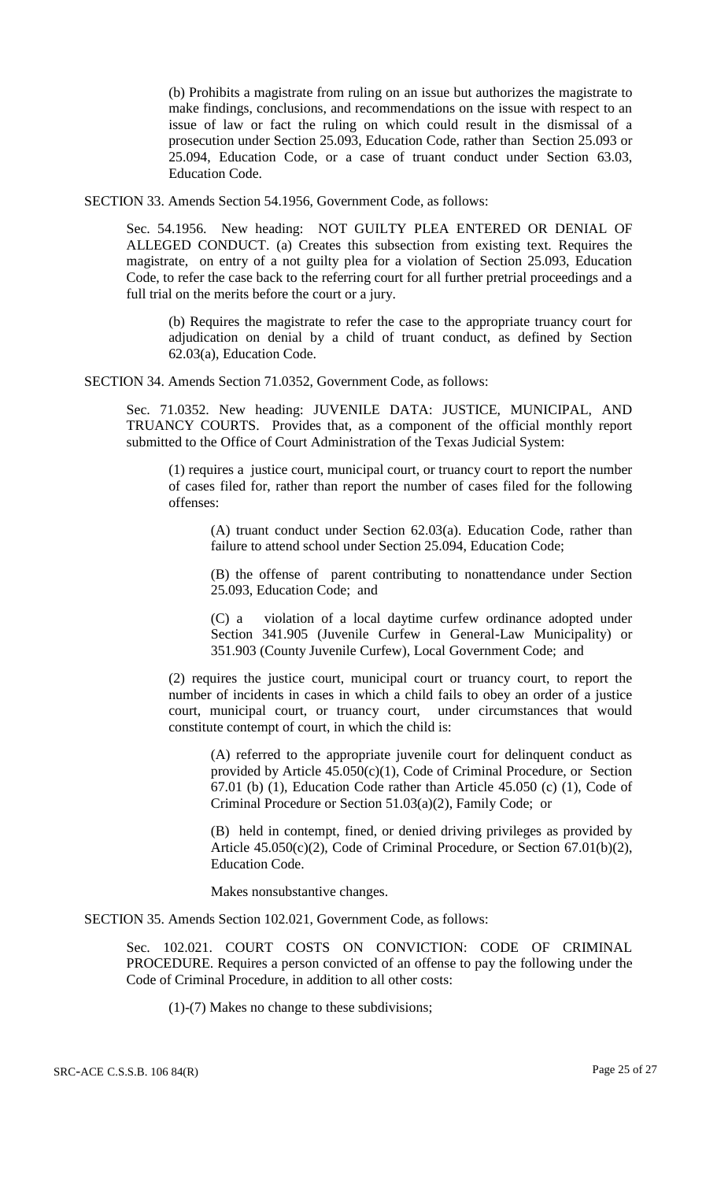(b) Prohibits a magistrate from ruling on an issue but authorizes the magistrate to make findings, conclusions, and recommendations on the issue with respect to an issue of law or fact the ruling on which could result in the dismissal of a prosecution under Section 25.093, Education Code, rather than Section 25.093 or 25.094, Education Code, or a case of truant conduct under Section 63.03, Education Code.

SECTION 33. Amends Section 54.1956, Government Code, as follows:

Sec. 54.1956. New heading: NOT GUILTY PLEA ENTERED OR DENIAL OF ALLEGED CONDUCT. (a) Creates this subsection from existing text. Requires the magistrate, on entry of a not guilty plea for a violation of Section 25.093, Education Code, to refer the case back to the referring court for all further pretrial proceedings and a full trial on the merits before the court or a jury.

(b) Requires the magistrate to refer the case to the appropriate truancy court for adjudication on denial by a child of truant conduct, as defined by Section 62.03(a), Education Code.

SECTION 34. Amends Section 71.0352, Government Code, as follows:

Sec. 71.0352. New heading: JUVENILE DATA: JUSTICE, MUNICIPAL, AND TRUANCY COURTS. Provides that, as a component of the official monthly report submitted to the Office of Court Administration of the Texas Judicial System:

(1) requires a justice court, municipal court, or truancy court to report the number of cases filed for, rather than report the number of cases filed for the following offenses:

(A) truant conduct under Section 62.03(a). Education Code, rather than failure to attend school under Section 25.094, Education Code;

(B) the offense of parent contributing to nonattendance under Section 25.093, Education Code; and

(C) a violation of a local daytime curfew ordinance adopted under Section 341.905 (Juvenile Curfew in General-Law Municipality) or 351.903 (County Juvenile Curfew), Local Government Code; and

(2) requires the justice court, municipal court or truancy court, to report the number of incidents in cases in which a child fails to obey an order of a justice court, municipal court, or truancy court, under circumstances that would constitute contempt of court, in which the child is:

(A) referred to the appropriate juvenile court for delinquent conduct as provided by Article  $45.050(c)(1)$ , Code of Criminal Procedure, or Section 67.01 (b) (1), Education Code rather than Article 45.050 (c) (1), Code of Criminal Procedure or Section 51.03(a)(2), Family Code; or

(B) held in contempt, fined, or denied driving privileges as provided by Article 45.050(c)(2), Code of Criminal Procedure, or Section 67.01(b)(2), Education Code.

Makes nonsubstantive changes.

SECTION 35. Amends Section 102.021, Government Code, as follows:

Sec. 102.021. COURT COSTS ON CONVICTION: CODE OF CRIMINAL PROCEDURE. Requires a person convicted of an offense to pay the following under the Code of Criminal Procedure, in addition to all other costs:

(1)-(7) Makes no change to these subdivisions;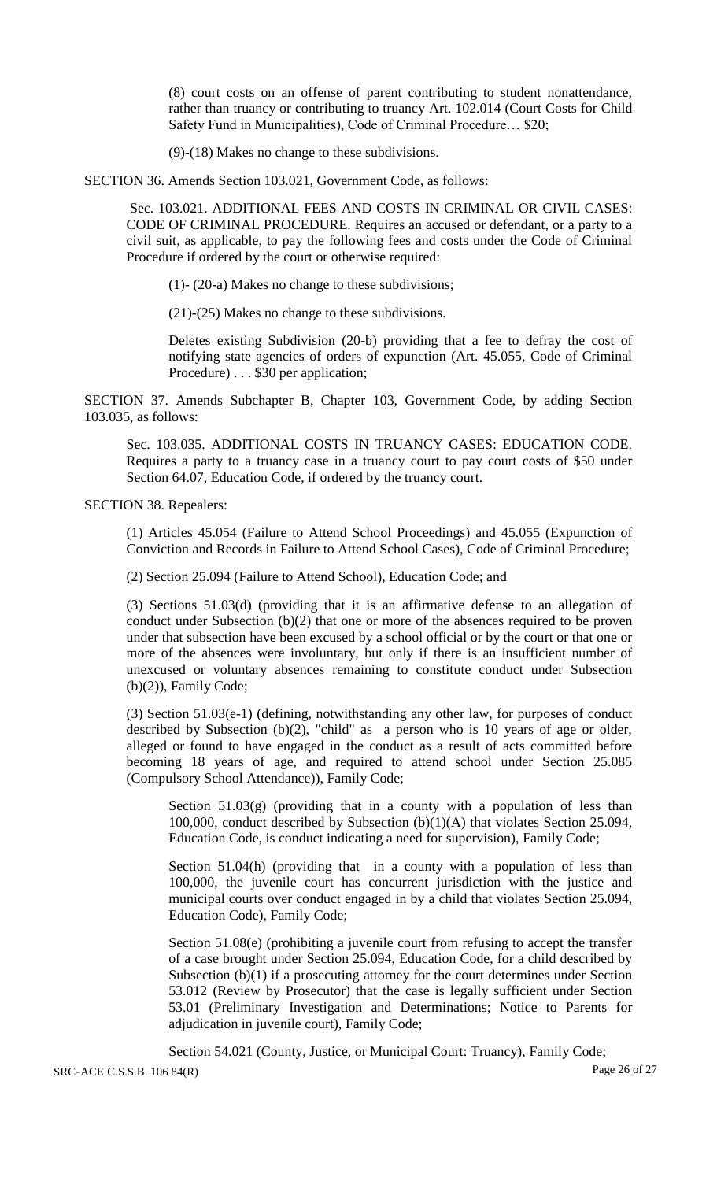(8) court costs on an offense of parent contributing to student nonattendance, rather than truancy or contributing to truancy Art. 102.014 (Court Costs for Child Safety Fund in Municipalities), Code of Criminal Procedure… \$20;

(9)-(18) Makes no change to these subdivisions.

SECTION 36. Amends Section 103.021, Government Code, as follows:

Sec. 103.021. ADDITIONAL FEES AND COSTS IN CRIMINAL OR CIVIL CASES: CODE OF CRIMINAL PROCEDURE. Requires an accused or defendant, or a party to a civil suit, as applicable, to pay the following fees and costs under the Code of Criminal Procedure if ordered by the court or otherwise required:

(1)- (20-a) Makes no change to these subdivisions;

(21)-(25) Makes no change to these subdivisions.

Deletes existing Subdivision (20-b) providing that a fee to defray the cost of notifying state agencies of orders of expunction (Art. 45.055, Code of Criminal Procedure) . . . \$30 per application;

SECTION 37. Amends Subchapter B, Chapter 103, Government Code, by adding Section 103.035, as follows:

Sec. 103.035. ADDITIONAL COSTS IN TRUANCY CASES: EDUCATION CODE. Requires a party to a truancy case in a truancy court to pay court costs of \$50 under Section 64.07, Education Code, if ordered by the truancy court.

SECTION 38. Repealers:

(1) Articles 45.054 (Failure to Attend School Proceedings) and 45.055 (Expunction of Conviction and Records in Failure to Attend School Cases), Code of Criminal Procedure;

(2) Section 25.094 (Failure to Attend School), Education Code; and

(3) Sections 51.03(d) (providing that it is an affirmative defense to an allegation of conduct under Subsection (b)(2) that one or more of the absences required to be proven under that subsection have been excused by a school official or by the court or that one or more of the absences were involuntary, but only if there is an insufficient number of unexcused or voluntary absences remaining to constitute conduct under Subsection (b)(2)), Family Code;

(3) Section 51.03(e-1) (defining, notwithstanding any other law, for purposes of conduct described by Subsection (b)(2), "child" as a person who is 10 years of age or older, alleged or found to have engaged in the conduct as a result of acts committed before becoming 18 years of age, and required to attend school under Section 25.085 (Compulsory School Attendance)), Family Code;

Section  $51.03(g)$  (providing that in a county with a population of less than 100,000, conduct described by Subsection (b)(1)(A) that violates Section 25.094, Education Code, is conduct indicating a need for supervision), Family Code;

Section 51.04(h) (providing that in a county with a population of less than 100,000, the juvenile court has concurrent jurisdiction with the justice and municipal courts over conduct engaged in by a child that violates Section 25.094, Education Code), Family Code;

Section 51.08(e) (prohibiting a juvenile court from refusing to accept the transfer of a case brought under Section 25.094, Education Code, for a child described by Subsection (b)(1) if a prosecuting attorney for the court determines under Section 53.012 (Review by Prosecutor) that the case is legally sufficient under Section 53.01 (Preliminary Investigation and Determinations; Notice to Parents for adjudication in juvenile court), Family Code;

SRC-ACE C.S.S.B. 106 84(R) Page 26 of 27 Section 54.021 (County, Justice, or Municipal Court: Truancy), Family Code;